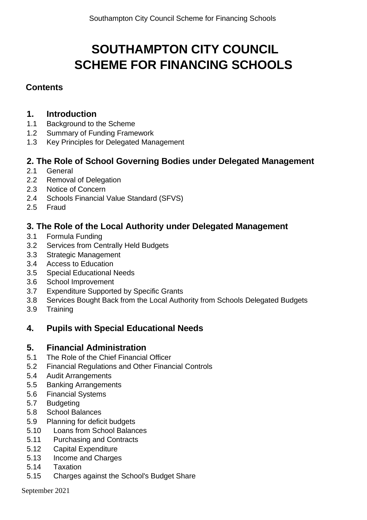# **SOUTHAMPTON CITY COUNCIL SCHEME FOR FINANCING SCHOOLS**

# **Contents**

# **1. Introduction**

- 1.1 [Background](#page-2-0) to the Scheme
- 1.2 Summary of [Funding Framework](#page-2-1)
- 1.3 Key Principles for Delegated Management

# **2. The Role of School [Governing Bodies](#page-4-0) under Delegated Management**

- 2.1 [General](#page-4-1)
- 2.2 Removal of [Delegation](#page-5-0)
- 2.3 [Notice of](#page-5-1) Concern
- 2.4 [Schools Financial](#page-6-0) Value Standard (SFVS)
- 2.5 [Fraud](#page-6-1)

# **3. The Role of the [Local Authority](#page-6-2) under Delegated Management**

- 3.1 [Formula Funding](#page-6-3)
- 3.2 Services from Centrally [Held Budgets](#page-7-0)
- 3.3 Strategic [Management](#page-7-1)
- 3.4 Access to [Education](#page-7-2)
- 3.5 Special [Educational](#page-8-0) Needs
- 3.6 School [Improvement](#page-8-1)
- 3.7 [Expenditure](#page-8-2) Supported by Specific Grants
- 3.8 Services Bought Back from the [Local Authority](#page-9-0) from Schools Delegated Budgets
- 3.9 [Training](#page-10-0)

# **4. Pupils with Special [Educational Needs](#page-10-1)**

# **5. Financial [Administration](#page-10-2)**

- 5.1 The Role of the Chief [Financial](#page-10-3) Officer
- 5.2 Financial [Regulations](#page-10-4) and Other Financial Controls
- 5.4 Audit [Arrangements](#page-12-0)
- 5.5 Banking [Arrangements](#page-12-1)
- 5.6 [Financial](#page-13-0) Systems
- 5.7 [Budgeting](#page-14-0)
- 5.8 School [Balances](#page-15-0)
- 5.9 Planning [for deficit](#page-16-0) budgets
- 5.10 Loans from School [Balances](#page-17-0)
- 5.11 [Purchasing](#page-17-1) and Contracts
- 5.12 [Capital Expenditure](#page-18-0)
- 5.13 Income and [Charges](#page-19-0)
- 5.14 [Taxation](#page-19-1)
- 5.15 [Charges](#page-19-2) against the School's Budget Share

September 2021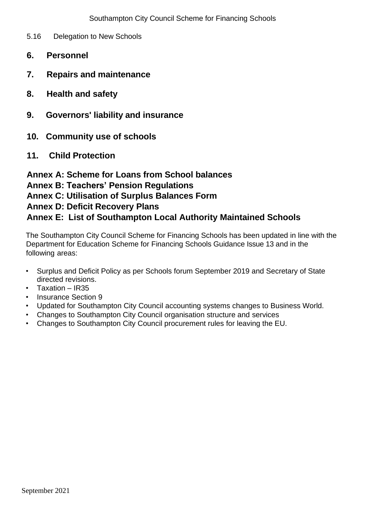- 5.16 [Delegation](#page-21-0) to New Schools
- **6. Personnel**
- **7. Repairs and [maintenance](#page-22-0)**
- **8. [Health and safety](#page-23-0)**
- **9. [Governors' liability](#page-24-0) and insurance**
- **10. Community use of schools**
- **11. Child [Protection](#page-31-0)**

**Annex A: Scheme [for Loans](#page-31-1) from School balances**

### **Annex B: Teachers' [Pension Regulations](#page-33-0)**

**Annex C: Utilisation of [Surplus Balances](#page-34-0) Form**

# **Annex D: Deficit Recovery Plans**

# **Annex E: List of Southampton Local Authority [Maintained Schools](#page-39-0)**

The Southampton City Council Scheme for Financing Schools has been updated in line with the Department for Education Scheme for Financing Schools Guidance Issue 13 and in the following areas:

- Surplus and Deficit Policy as per Schools forum September 2019 and Secretary of State directed revisions.
- Taxation IR35
- Insurance Section 9
- Updated for Southampton City Council accounting systems changes to Business World.
- Changes to Southampton City Council organisation structure and services
- Changes to Southampton City Council procurement rules for leaving the EU.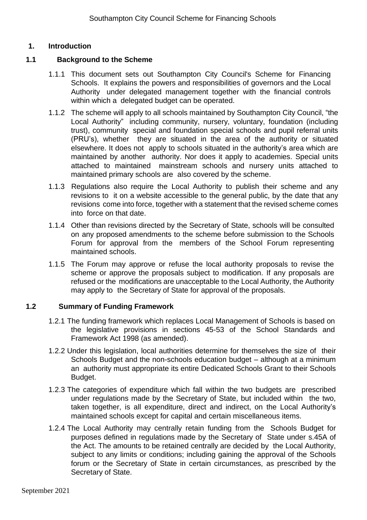#### **1. Introduction**

#### <span id="page-2-0"></span>**1.1 Background to the Scheme**

- 1.1.1 This document sets out Southampton City Council's Scheme for Financing Schools. It explains the powers and responsibilities of governors and the Local Authority under delegated management together with the financial controls within which a delegated budget can be operated.
- 1.1.2 The scheme will apply to all schools maintained by Southampton City Council, "the Local Authority" including community, nursery, voluntary, foundation (including trust), community special and foundation special schools and pupil referral units (PRU's), whether they are situated in the area of the authority or situated elsewhere. It does not apply to schools situated in the authority's area which are maintained by another authority. Nor does it apply to academies. Special units attached to maintained mainstream schools and nursery units attached to maintained primary schools are also covered by the scheme.
- 1.1.3 Regulations also require the Local Authority to publish their scheme and any revisions to it on a website accessible to the general public, by the date that any revisions come into force, together with a statement that the revised scheme comes into force on that date.
- 1.1.4 Other than revisions directed by the Secretary of State, schools will be consulted on any proposed amendments to the scheme before submission to the Schools Forum for approval from the members of the School Forum representing maintained schools.
- 1.1.5 The Forum may approve or refuse the local authority proposals to revise the scheme or approve the proposals subject to modification. If any proposals are refused or the modifications are unacceptable to the Local Authority, the Authority may apply to the Secretary of State for approval of the proposals.

#### **1.2 Summary of Funding Framework**

- 1.2.1 The funding framework which replaces Local Management of Schools is based on the legislative provisions in sections 45-53 of the School Standards and Framework Act 1998 (as amended).
- <span id="page-2-1"></span>1.2.2 Under this legislation, local authorities determine for themselves the size of their Schools Budget and the non-schools education budget – although at a minimum an authority must appropriate its entire Dedicated Schools Grant to their Schools Budget.
- 1.2.3 The categories of expenditure which fall within the two budgets are prescribed under regulations made by the Secretary of State, but included within the two, taken together, is all expenditure, direct and indirect, on the Local Authority's maintained schools except for capital and certain miscellaneous items.
- 1.2.4 The Local Authority may centrally retain funding from the Schools Budget for purposes defined in regulations made by the Secretary of State under s.45A of the Act. The amounts to be retained centrally are decided by the Local Authority, subject to any limits or conditions; including gaining the approval of the Schools forum or the Secretary of State in certain circumstances, as prescribed by the Secretary of State.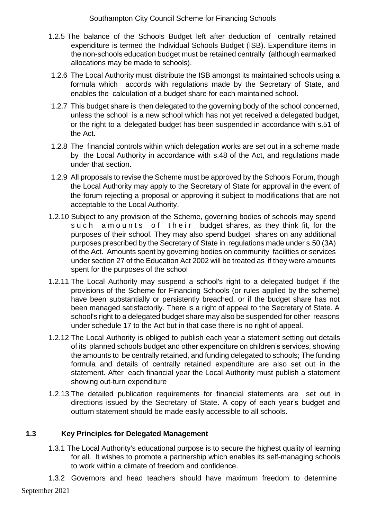- 1.2.5 The balance of the Schools Budget left after deduction of centrally retained expenditure is termed the Individual Schools Budget (ISB). Expenditure items in the non-schools education budget must be retained centrally (although earmarked allocations may be made to schools).
- 1.2.6 The Local Authority must distribute the ISB amongst its maintained schools using a formula which accords with regulations made by the Secretary of State, and enables the calculation of a budget share for each maintained school.
- 1.2.7 This budget share is then delegated to the governing body of the school concerned, unless the school is a new school which has not yet received a delegated budget, or the right to a delegated budget has been suspended in accordance with s.51 of the Act.
- 1.2.8 The financial controls within which delegation works are set out in a scheme made by the Local Authority in accordance with s.48 of the Act, and regulations made under that section.
- 1.2.9 All proposals to revise the Scheme must be approved by the Schools Forum, though the Local Authority may apply to the Secretary of State for approval in the event of the forum rejecting a proposal or approving it subject to modifications that are not acceptable to the Local Authority.
- 1.2.10 Subject to any provision of the Scheme, governing bodies of schools may spend such amounts of their budget shares, as they think fit, for the purposes of their school. They may also spend budget shares on any additional purposes prescribed by the Secretary of State in regulations made under s.50 (3A) of the Act. Amounts spent by governing bodies on community facilities or services under section 27 of the Education Act 2002 will be treated as if they were amounts spent for the purposes of the school
- 1.2.11 The Local Authority may suspend a school's right to a delegated budget if the provisions of the Scheme for Financing Schools (or rules applied by the scheme) have been substantially or persistently breached, or if the budget share has not been managed satisfactorily. There is a right of appeal to the Secretary of State. A school's right to a delegated budget share may also be suspended for other reasons under schedule 17 to the Act but in that case there is no right of appeal.
- 1.2.12 The Local Authority is obliged to publish each year a statement setting out details of its planned schools budget and other expenditure on children's services, showing the amounts to be centrally retained, and funding delegated to schools; The funding formula and details of centrally retained expenditure are also set out in the statement. After each financial year the Local Authority must publish a statement showing out-turn expenditure
- 1.2.13 The detailed publication requirements for financial statements are set out in directions issued by the Secretary of State. A copy of each year's budget and outturn statement should be made easily accessible to all schools.

# **1.3 Key Principles for Delegated Management**

1.3.1 The Local Authority's educational purpose is to secure the highest quality of learning for all. It wishes to promote a partnership which enables its self-managing schools to work within a climate of freedom and confidence.

September 2021 1.3.2 Governors and head teachers should have maximum freedom to determine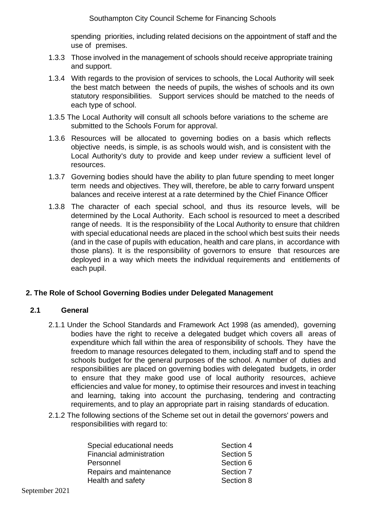spending priorities, including related decisions on the appointment of staff and the use of premises.

- 1.3.3 Those involved in the management of schools should receive appropriate training and support.
- 1.3.4 With regards to the provision of services to schools, the Local Authority will seek the best match between the needs of pupils, the wishes of schools and its own statutory responsibilities. Support services should be matched to the needs of each type of school.
- 1.3.5 The Local Authority will consult all schools before variations to the scheme are submitted to the Schools Forum for approval.
- 1.3.6 Resources will be allocated to governing bodies on a basis which reflects objective needs, is simple, is as schools would wish, and is consistent with the Local Authority's duty to provide and keep under review a sufficient level of resources.
- 1.3.7 Governing bodies should have the ability to plan future spending to meet longer term needs and objectives. They will, therefore, be able to carry forward unspent balances and receive interest at a rate determined by the Chief Finance Officer
- 1.3.8 The character of each special school, and thus its resource levels, will be determined by the Local Authority. Each school is resourced to meet a described range of needs. It is the responsibility of the Local Authority to ensure that children with special educational needs are placed in the school which best suits their needs (and in the case of pupils with education, health and care plans, in accordance with those plans). It is the responsibility of governors to ensure that resources are deployed in a way which meets the individual requirements and entitlements of each pupil.

#### <span id="page-4-0"></span>**2. The Role of School Governing Bodies under Delegated Management**

#### <span id="page-4-1"></span>**2.1 General**

- 2.1.1 Under the School Standards and Framework Act 1998 (as amended), governing bodies have the right to receive a delegated budget which covers all areas of expenditure which fall within the area of responsibility of schools. They have the freedom to manage resources delegated to them, including staff and to spend the schools budget for the general purposes of the school. A number of duties and responsibilities are placed on governing bodies with delegated budgets, in order to ensure that they make good use of local authority resources, achieve efficiencies and value for money, to optimise their resources and invest in teaching and learning, taking into account the purchasing, tendering and contracting requirements, and to play an appropriate part in raising standards of education.
- 2.1.2 The following sections of the Scheme set out in detail the governors' powers and responsibilities with regard to:

| Special educational needs | Section 4 |
|---------------------------|-----------|
| Financial administration  | Section 5 |
| Personnel                 | Section 6 |
| Repairs and maintenance   | Section 7 |
| Health and safety         | Section 8 |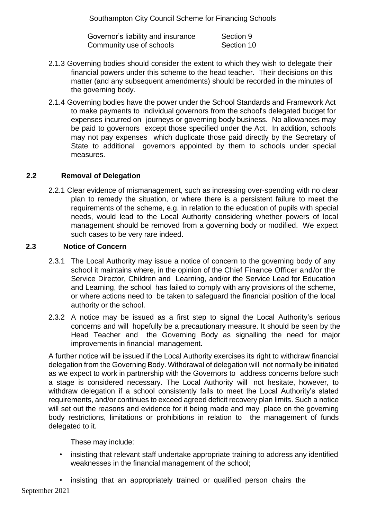Governor's liability and insurance Section 9 Community use of schools Section 10

- 2.1.3 Governing bodies should consider the extent to which they wish to delegate their financial powers under this scheme to the head teacher. Their decisions on this matter (and any subsequent amendments) should be recorded in the minutes of the governing body.
- 2.1.4 Governing bodies have the power under the School Standards and Framework Act to make payments to individual governors from the school's delegated budget for expenses incurred on journeys or governing body business. No allowances may be paid to governors except those specified under the Act. In addition, schools may not pay expenses which duplicate those paid directly by the Secretary of State to additional governors appointed by them to schools under special measures.

#### <span id="page-5-0"></span>**2.2 Removal of Delegation**

2.2.1 Clear evidence of mismanagement, such as increasing over-spending with no clear plan to remedy the situation, or where there is a persistent failure to meet the requirements of the scheme, e.g. in relation to the education of pupils with special needs, would lead to the Local Authority considering whether powers of local management should be removed from a governing body or modified. We expect such cases to be very rare indeed.

#### <span id="page-5-1"></span>**2.3 Notice of Concern**

- 2.3.1 The Local Authority may issue a notice of concern to the governing body of any school it maintains where, in the opinion of the Chief Finance Officer and/or the Service Director, Children and Learning, and/or the Service Lead for Education and Learning, the school has failed to comply with any provisions of the scheme, or where actions need to be taken to safeguard the financial position of the local authority or the school.
- 2.3.2 A notice may be issued as a first step to signal the Local Authority's serious concerns and will hopefully be a precautionary measure. It should be seen by the Head Teacher and the Governing Body as signalling the need for major improvements in financial management.

A further notice will be issued if the Local Authority exercises its right to withdraw financial delegation from the Governing Body. Withdrawal of delegation will not normally be initiated as we expect to work in partnership with the Governors to address concerns before such a stage is considered necessary. The Local Authority will not hesitate, however, to withdraw delegation if a school consistently fails to meet the Local Authority's stated requirements, and/or continues to exceed agreed deficit recovery plan limits. Such a notice will set out the reasons and evidence for it being made and may place on the governing body restrictions, limitations or prohibitions in relation to the management of funds delegated to it.

These may include:

• insisting that relevant staff undertake appropriate training to address any identified weaknesses in the financial management of the school;

• insisting that an appropriately trained or qualified person chairs the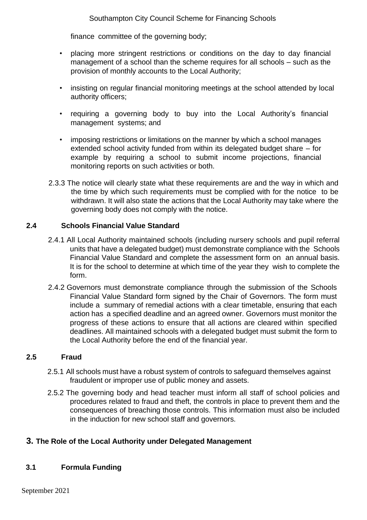finance committee of the governing body;

- placing more stringent restrictions or conditions on the day to day financial management of a school than the scheme requires for all schools – such as the provision of monthly accounts to the Local Authority;
- insisting on regular financial monitoring meetings at the school attended by local authority officers;
- requiring a governing body to buy into the Local Authority's financial management systems; and
- imposing restrictions or limitations on the manner by which a school manages extended school activity funded from within its delegated budget share – for example by requiring a school to submit income projections, financial monitoring reports on such activities or both.
- 2.3.3 The notice will clearly state what these requirements are and the way in which and the time by which such requirements must be complied with for the notice to be withdrawn. It will also state the actions that the Local Authority may take where the governing body does not comply with the notice.

#### <span id="page-6-0"></span>**2.4 Schools Financial Value Standard**

- 2.4.1 All Local Authority maintained schools (including nursery schools and pupil referral units that have a delegated budget) must demonstrate compliance with the Schools Financial Value Standard and complete the assessment form on an annual basis. It is for the school to determine at which time of the year they wish to complete the form.
- 2.4.2 Governors must demonstrate compliance through the submission of the Schools Financial Value Standard form signed by the Chair of Governors. The form must include a summary of remedial actions with a clear timetable, ensuring that each action has a specified deadline and an agreed owner. Governors must monitor the progress of these actions to ensure that all actions are cleared within specified deadlines. All maintained schools with a delegated budget must submit the form to the Local Authority before the end of the financial year.

#### <span id="page-6-1"></span>**2.5 Fraud**

- 2.5.1 All schools must have a robust system of controls to safeguard themselves against fraudulent or improper use of public money and assets.
- 2.5.2 The governing body and head teacher must inform all staff of school policies and procedures related to fraud and theft, the controls in place to prevent them and the consequences of breaching those controls. This information must also be included in the induction for new school staff and governors.

#### <span id="page-6-2"></span>**3. The Role of the Local Authority under Delegated Management**

#### <span id="page-6-3"></span>**3.1 Formula Funding**

September 2021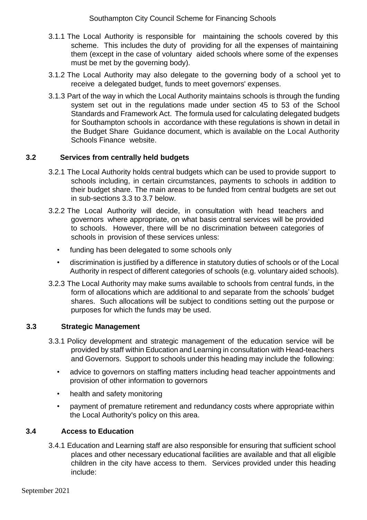- 3.1.1 The Local Authority is responsible for maintaining the schools covered by this scheme. This includes the duty of providing for all the expenses of maintaining them (except in the case of voluntary aided schools where some of the expenses must be met by the governing body).
- 3.1.2 The Local Authority may also delegate to the governing body of a school yet to receive a delegated budget, funds to meet governors' expenses.
- 3.1.3 Part of the way in which the Local Authority maintains schools is through the funding system set out in the regulations made under section 45 to 53 of the School Standards and Framework Act. The formula used for calculating delegated budgets for Southampton schools in accordance with these regulations is shown in detail in the Budget Share Guidance document, which is available on the Local Authority Schools Finance website.

#### <span id="page-7-0"></span>**3.2 Services from centrally held budgets**

- 3.2.1 The Local Authority holds central budgets which can be used to provide support to schools including, in certain circumstances, payments to schools in addition to their budget share. The main areas to be funded from central budgets are set out in sub-sections 3.3 to 3.7 below.
- 3.2.2 The Local Authority will decide, in consultation with head teachers and governors where appropriate, on what basis central services will be provided to schools. However, there will be no discrimination between categories of schools in provision of these services unless:
	- funding has been delegated to some schools only
	- discrimination is justified by a difference in statutory duties of schools or of the Local Authority in respect of different categories of schools (e.g. voluntary aided schools).
- 3.2.3 The Local Authority may make sums available to schools from central funds, in the form of allocations which are additional to and separate from the schools' budget shares. Such allocations will be subject to conditions setting out the purpose or purposes for which the funds may be used.

#### <span id="page-7-1"></span>**3.3 Strategic Management**

- 3.3.1 Policy development and strategic management of the education service will be provided by staff within Education and Learning in consultation with Head-teachers and Governors. Support to schools under this heading may include the following:
	- advice to governors on staffing matters including head teacher appointments and provision of other information to governors
	- health and safety monitoring
	- payment of premature retirement and redundancy costs where appropriate within the Local Authority's policy on this area.

#### <span id="page-7-2"></span>**3.4 Access to Education**

3.4.1 Education and Learning staff are also responsible for ensuring that sufficient school places and other necessary educational facilities are available and that all eligible children in the city have access to them. Services provided under this heading include: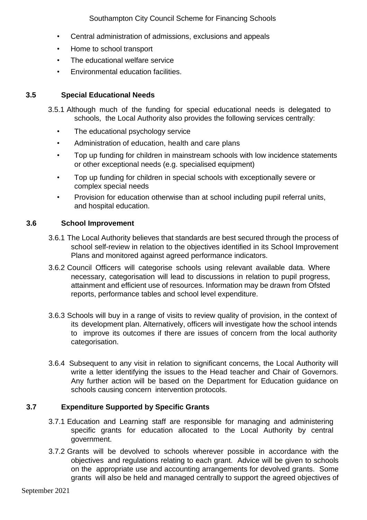- Central administration of admissions, exclusions and appeals
- Home to school transport
- The educational welfare service
- Environmental education facilities.

#### <span id="page-8-0"></span>**3.5 Special Educational Needs**

- 3.5.1 Although much of the funding for special educational needs is delegated to schools, the Local Authority also provides the following services centrally:
	- The educational psychology service
	- Administration of education, health and care plans
	- Top up funding for children in mainstream schools with low incidence statements or other exceptional needs (e.g. specialised equipment)
	- Top up funding for children in special schools with exceptionally severe or complex special needs
	- Provision for education otherwise than at school including pupil referral units, and hospital education.

#### <span id="page-8-1"></span>**3.6 School Improvement**

- 3.6.1 The Local Authority believes that standards are best secured through the process of school self-review in relation to the objectives identified in its School Improvement Plans and monitored against agreed performance indicators.
- 3.6.2 Council Officers will categorise schools using relevant available data. Where necessary, categorisation will lead to discussions in relation to pupil progress, attainment and efficient use of resources. Information may be drawn from Ofsted reports, performance tables and school level expenditure.
- 3.6.3 Schools will buy in a range of visits to review quality of provision, in the context of its development plan. Alternatively, officers will investigate how the school intends to improve its outcomes if there are issues of concern from the local authority categorisation.
- 3.6.4 Subsequent to any visit in relation to significant concerns, the Local Authority will write a letter identifying the issues to the Head teacher and Chair of Governors. Any further action will be based on the Department for Education guidance on schools causing concern intervention protocols.

# <span id="page-8-2"></span>**3.7 Expenditure Supported by Specific Grants**

- 3.7.1 Education and Learning staff are responsible for managing and administering specific grants for education allocated to the Local Authority by central government.
- 3.7.2 Grants will be devolved to schools wherever possible in accordance with the objectives and regulations relating to each grant. Advice will be given to schools on the appropriate use and accounting arrangements for devolved grants. Some grants will also be held and managed centrally to support the agreed objectives of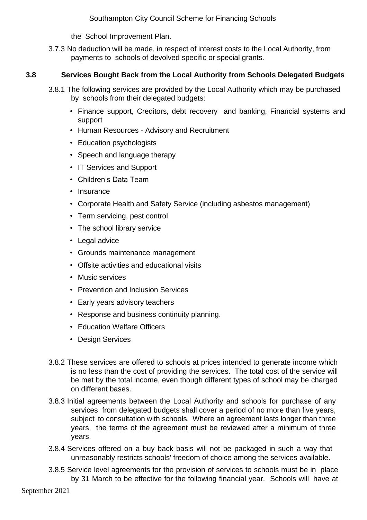the School Improvement Plan.

3.7.3 No deduction will be made, in respect of interest costs to the Local Authority, from payments to schools of devolved specific or special grants.

#### <span id="page-9-0"></span>**3.8 Services Bought Back from the Local Authority from Schools Delegated Budgets**

- 3.8.1 The following services are provided by the Local Authority which may be purchased by schools from their delegated budgets:
	- Finance support, Creditors, debt recovery and banking, Financial systems and support
	- Human Resources Advisory and Recruitment
	- Education psychologists
	- Speech and language therapy
	- IT Services and Support
	- Children's Data Team
	- Insurance
	- Corporate Health and Safety Service (including asbestos management)
	- Term servicing, pest control
	- The school library service
	- Legal advice
	- Grounds maintenance management
	- Offsite activities and educational visits
	- Music services
	- Prevention and Inclusion Services
	- Early years advisory teachers
	- Response and business continuity planning.
	- Education Welfare Officers
	- Design Services
- 3.8.2 These services are offered to schools at prices intended to generate income which is no less than the cost of providing the services. The total cost of the service will be met by the total income, even though different types of school may be charged on different bases.
- 3.8.3 Initial agreements between the Local Authority and schools for purchase of any services from delegated budgets shall cover a period of no more than five years, subject to consultation with schools. Where an agreement lasts longer than three years, the terms of the agreement must be reviewed after a minimum of three years.
- 3.8.4 Services offered on a buy back basis will not be packaged in such a way that unreasonably restricts schools' freedom of choice among the services available.
- 3.8.5 Service level agreements for the provision of services to schools must be in place by 31 March to be effective for the following financial year. Schools will have at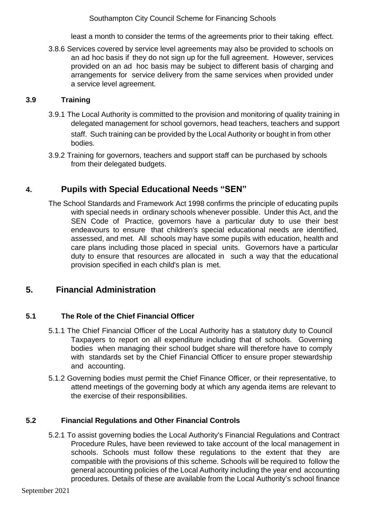least a month to consider the terms of the agreements prior to their taking effect.

3.8.6 Services covered by service level agreements may also be provided to schools on an ad hoc basis if they do not sign up for the full agreement. However, services provided on an ad hoc basis may be subject to different basis of charging and arrangements for service delivery from the same services when provided under a service level agreement.

#### <span id="page-10-0"></span>**3.9 Training**

- 3.9.1 The Local Authority is committed to the provision and monitoring of quality training in delegated management for school governors, head teachers, teachers and support staff. Such training can be provided by the Local Authority or bought in from other bodies.
- 3.9.2 Training for governors, teachers and support staff can be purchased by schools from their delegated budgets.

# <span id="page-10-1"></span>**4. Pupils with Special Educational Needs "SEN"**

The School Standards and Framework Act 1998 confirms the principle of educating pupils with special needs in ordinary schools whenever possible. Under this Act, and the SEN Code of Practice, governors have a particular duty to use their best endeavours to ensure that children's special educational needs are identified, assessed, and met. All schools may have some pupils with education, health and care plans including those placed in special units. Governors have a particular duty to ensure that resources are allocated in such a way that the educational provision specified in each child's plan is met.

# <span id="page-10-2"></span>**5. Financial Administration**

#### <span id="page-10-3"></span>**5.1 The Role of the Chief Financial Officer**

- 5.1.1 The Chief Financial Officer of the Local Authority has a statutory duty to Council Taxpayers to report on all expenditure including that of schools. Governing bodies when managing their school budget share will therefore have to comply with standards set by the Chief Financial Officer to ensure proper stewardship and accounting.
- 5.1.2 Governing bodies must permit the Chief Finance Officer, or their representative, to attend meetings of the governing body at which any agenda items are relevant to the exercise of their responsibilities.

#### <span id="page-10-4"></span>**5.2 Financial Regulations and Other Financial Controls**

5.2.1 To assist governing bodies the Local Authority's Financial Regulations and Contract Procedure Rules, have been reviewed to take account of the local management in schools. Schools must follow these regulations to the extent that they are compatible with the provisions of this scheme. Schools will be required to follow the general accounting policies of the Local Authority including the year end accounting procedures. Details of these are available from the Local Authority's school finance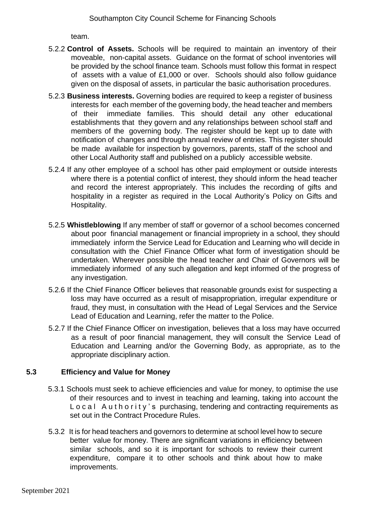team.

- 5.2.2 **Control of Assets.** Schools will be required to maintain an inventory of their moveable, non-capital assets. Guidance on the format of school inventories will be provided by the school finance team. Schools must follow this format in respect of assets with a value of £1,000 or over. Schools should also follow guidance given on the disposal of assets, in particular the basic authorisation procedures.
- 5.2.3 **Business interests.** Governing bodies are required to keep a register of business interests for each member of the governing body, the head teacher and members of their immediate families. This should detail any other educational establishments that they govern and any relationships between school staff and members of the governing body. The register should be kept up to date with notification of changes and through annual review of entries. This register should be made available for inspection by governors, parents, staff of the school and other Local Authority staff and published on a publicly accessible website.
- 5.2.4 If any other employee of a school has other paid employment or outside interests where there is a potential conflict of interest, they should inform the head teacher and record the interest appropriately. This includes the recording of gifts and hospitality in a register as required in the Local Authority's Policy on Gifts and Hospitality.
- 5.2.5 **Whistleblowing** If any member of staff or governor of a school becomes concerned about poor financial management or financial impropriety in a school, they should immediately inform the Service Lead for Education and Learning who will decide in consultation with the Chief Finance Officer what form of investigation should be undertaken. Wherever possible the head teacher and Chair of Governors will be immediately informed of any such allegation and kept informed of the progress of any investigation.
- 5.2.6 If the Chief Finance Officer believes that reasonable grounds exist for suspecting a loss may have occurred as a result of misappropriation, irregular expenditure or fraud, they must, in consultation with the Head of Legal Services and the Service Lead of Education and Learning, refer the matter to the Police.
- 5.2.7 If the Chief Finance Officer on investigation, believes that a loss may have occurred as a result of poor financial management, they will consult the Service Lead of Education and Learning and/or the Governing Body, as appropriate, as to the appropriate disciplinary action.

#### **5.3 Efficiency and Value for Money**

- 5.3.1 Schools must seek to achieve efficiencies and value for money, to optimise the use of their resources and to invest in teaching and learning, taking into account the Local Authority's purchasing, tendering and contracting requirements as set out in the Contract Procedure Rules.
- 5.3.2 It is for head teachers and governors to determine at school level how to secure better value for money. There are significant variations in efficiency between similar schools, and so it is important for schools to review their current expenditure, compare it to other schools and think about how to make improvements.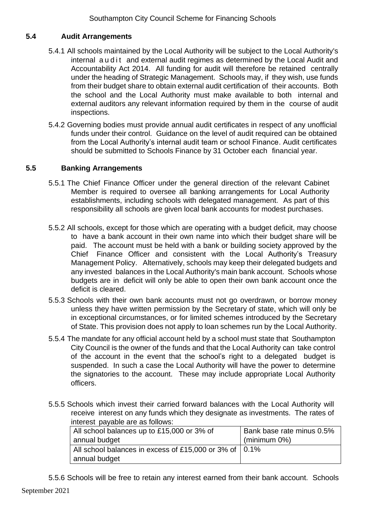#### <span id="page-12-0"></span>**5.4 Audit Arrangements**

- 5.4.1 All schools maintained by the Local Authority will be subject to the Local Authority's internal a u d it and external audit regimes as determined by the Local Audit and Accountability Act 2014. All funding for audit will therefore be retained centrally under the heading of Strategic Management. Schools may, if they wish, use funds from their budget share to obtain external audit certification of their accounts. Both the school and the Local Authority must make available to both internal and external auditors any relevant information required by them in the course of audit inspections.
- 5.4.2 Governing bodies must provide annual audit certificates in respect of any unofficial funds under their control. Guidance on the level of audit required can be obtained from the Local Authority's internal audit team or school Finance. Audit certificates should be submitted to Schools Finance by 31 October each financial year.

#### <span id="page-12-1"></span>**5.5 Banking Arrangements**

- 5.5.1 The Chief Finance Officer under the general direction of the relevant Cabinet Member is required to oversee all banking arrangements for Local Authority establishments, including schools with delegated management. As part of this responsibility all schools are given local bank accounts for modest purchases.
- 5.5.2 All schools, except for those which are operating with a budget deficit, may choose to have a bank account in their own name into which their budget share will be paid. The account must be held with a bank or building society approved by the Chief Finance Officer and consistent with the Local Authority's Treasury Management Policy. Alternatively, schools may keep their delegated budgets and any invested balances in the Local Authority's main bank account. Schools whose budgets are in deficit will only be able to open their own bank account once the deficit is cleared.
- 5.5.3 Schools with their own bank accounts must not go overdrawn, or borrow money unless they have written permission by the Secretary of state, which will only be in exceptional circumstances, or for limited schemes introduced by the Secretary of State. This provision does not apply to loan schemes run by the Local Authority.
- 5.5.4 The mandate for any official account held by a school must state that Southampton City Council is the owner of the funds and that the Local Authority can take control of the account in the event that the school's right to a delegated budget is suspended. In such a case the Local Authority will have the power to determine the signatories to the account. These may include appropriate Local Authority officers.
- 5.5.5 Schools which invest their carried forward balances with the Local Authority will receive interest on any funds which they designate as investments. The rates of interest payable are as follows:

| All school balances up to £15,000 or 3% of                     | Bank base rate minus 0.5% |
|----------------------------------------------------------------|---------------------------|
| annual budget                                                  | $(minimum 0\%)$           |
| All school balances in excess of £15,000 or 3% of $\vert$ 0.1% |                           |
| annual budget                                                  |                           |

5.5.6 Schools will be free to retain any interest earned from their bank account. Schools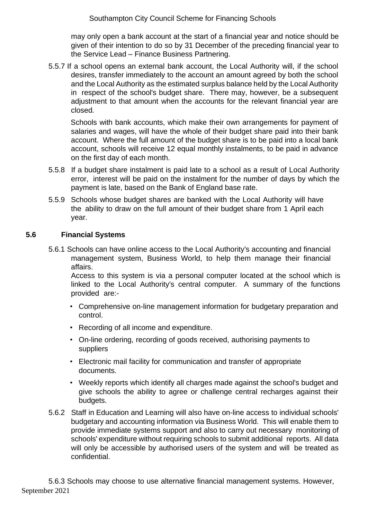may only open a bank account at the start of a financial year and notice should be given of their intention to do so by 31 December of the preceding financial year to the Service Lead – Finance Business Partnering.

5.5.7 If a school opens an external bank account, the Local Authority will, if the school desires, transfer immediately to the account an amount agreed by both the school and the Local Authority as the estimated surplus balance held by the Local Authority in respect of the school's budget share. There may, however, be a subsequent adjustment to that amount when the accounts for the relevant financial year are closed*.*

 Schools with bank accounts, which make their own arrangements for payment of salaries and wages, will have the whole of their budget share paid into their bank account. Where the full amount of the budget share is to be paid into a local bank account, schools will receive 12 equal monthly instalments, to be paid in advance on the first day of each month.

- 5.5.8 If a budget share instalment is paid late to a school as a result of Local Authority error, interest will be paid on the instalment for the number of days by which the payment is late, based on the Bank of England base rate.
- 5.5.9 Schools whose budget shares are banked with the Local Authority will have the ability to draw on the full amount of their budget share from 1 April each year.

#### <span id="page-13-0"></span>**5.6 Financial Systems**

5.6.1 Schools can have online access to the Local Authority's accounting and financial management system, Business World, to help them manage their financial affairs.

Access to this system is via a personal computer located at the school which is linked to the Local Authority's central computer. A summary of the functions provided are:-

- Comprehensive on-line management information for budgetary preparation and control.
- Recording of all income and expenditure.
- On-line ordering, recording of goods received, authorising payments to suppliers
- Electronic mail facility for communication and transfer of appropriate documents.
- Weekly reports which identify all charges made against the school's budget and give schools the ability to agree or challenge central recharges against their budgets.
- 5.6.2 Staff in Education and Learning will also have on-line access to individual schools' budgetary and accounting information via Business World. This will enable them to provide immediate systems support and also to carry out necessary monitoring of schools' expenditure without requiring schools to submit additional reports. All data will only be accessible by authorised users of the system and will be treated as confidential.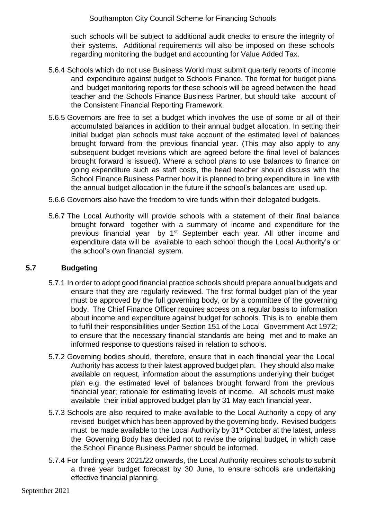such schools will be subject to additional audit checks to ensure the integrity of their systems. Additional requirements will also be imposed on these schools regarding monitoring the budget and accounting for Value Added Tax.

- 5.6.4 Schools which do not use Business World must submit quarterly reports of income and expenditure against budget to Schools Finance. The format for budget plans and budget monitoring reports for these schools will be agreed between the head teacher and the Schools Finance Business Partner, but should take account of the Consistent Financial Reporting Framework.
- 5.6.5 Governors are free to set a budget which involves the use of some or all of their accumulated balances in addition to their annual budget allocation. In setting their initial budget plan schools must take account of the estimated level of balances brought forward from the previous financial year. (This may also apply to any subsequent budget revisions which are agreed before the final level of balances brought forward is issued). Where a school plans to use balances to finance on going expenditure such as staff costs, the head teacher should discuss with the School Finance Business Partner how it is planned to bring expenditure in line with the annual budget allocation in the future if the school's balances are used up.
- 5.6.6 Governors also have the freedom to vire funds within their delegated budgets.
- 5.6.7 The Local Authority will provide schools with a statement of their final balance brought forward together with a summary of income and expenditure for the previous financial year by 1<sup>st</sup> September each year. All other income and expenditure data will be available to each school though the Local Authority's or the school's own financial system.

#### <span id="page-14-0"></span>**5.7 Budgeting**

- 5.7.1 In order to adopt good financial practice schools should prepare annual budgets and ensure that they are regularly reviewed. The first formal budget plan of the year must be approved by the full governing body, or by a committee of the governing body. The Chief Finance Officer requires access on a regular basis to information about income and expenditure against budget for schools. This is to enable them to fulfil their responsibilities under Section 151 of the Local Government Act 1972; to ensure that the necessary financial standards are being met and to make an informed response to questions raised in relation to schools.
- 5.7.2 Governing bodies should, therefore, ensure that in each financial year the Local Authority has access to their latest approved budget plan. They should also make available on request, information about the assumptions underlying their budget plan e.g. the estimated level of balances brought forward from the previous financial year; rationale for estimating levels of income. All schools must make available their initial approved budget plan by 31 May each financial year.
- 5.7.3 Schools are also required to make available to the Local Authority a copy of any revised budget which has been approved by the governing body. Revised budgets must be made available to the Local Authority by 31<sup>st</sup> October at the latest, unless the Governing Body has decided not to revise the original budget, in which case the School Finance Business Partner should be informed.
- 5.7.4 For funding years 2021/22 onwards, the Local Authority requires schools to submit a three year budget forecast by 30 June, to ensure schools are undertaking effective financial planning.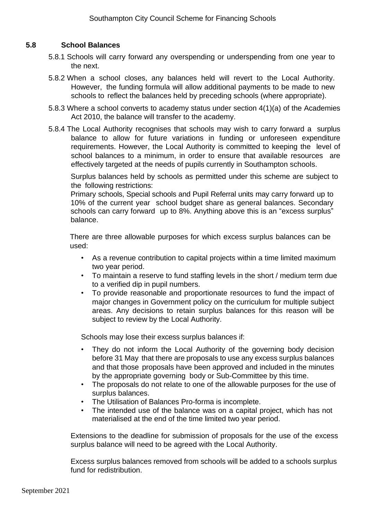#### <span id="page-15-0"></span>**5.8 School Balances**

- 5.8.1 Schools will carry forward any overspending or underspending from one year to the next.
- 5.8.2 When a school closes, any balances held will revert to the Local Authority. However, the funding formula will allow additional payments to be made to new schools to reflect the balances held by preceding schools (where appropriate).
- 5.8.3 Where a school converts to academy status under section 4(1)(a) of the Academies Act 2010, the balance will transfer to the academy.
- 5.8.4 The Local Authority recognises that schools may wish to carry forward a surplus balance to allow for future variations in funding or unforeseen expenditure requirements. However, the Local Authority is committed to keeping the level of school balances to a minimum, in order to ensure that available resources are effectively targeted at the needs of pupils currently in Southampton schools.

 Surplus balances held by schools as permitted under this scheme are subject to the following restrictions:

Primary schools, Special schools and Pupil Referral units may carry forward up to 10% of the current year school budget share as general balances. Secondary schools can carry forward up to 8%. Anything above this is an "excess surplus" balance.

There are three allowable purposes for which excess surplus balances can be used:

- As a revenue contribution to capital projects within a time limited maximum two year period.
- To maintain a reserve to fund staffing levels in the short / medium term due to a verified dip in pupil numbers.
- To provide reasonable and proportionate resources to fund the impact of major changes in Government policy on the curriculum for multiple subject areas. Any decisions to retain surplus balances for this reason will be subject to review by the Local Authority.

Schools may lose their excess surplus balances if:

- They do not inform the Local Authority of the governing body decision before 31 May that there are proposals to use any excess surplus balances and that those proposals have been approved and included in the minutes by the appropriate governing body or Sub-Committee by this time.
- The proposals do not relate to one of the allowable purposes for the use of surplus balances.
- The Utilisation of Balances Pro-forma is incomplete.
- The intended use of the balance was on a capital project, which has not materialised at the end of the time limited two year period.

Extensions to the deadline for submission of proposals for the use of the excess surplus balance will need to be agreed with the Local Authority.

Excess surplus balances removed from schools will be added to a schools surplus fund for redistribution.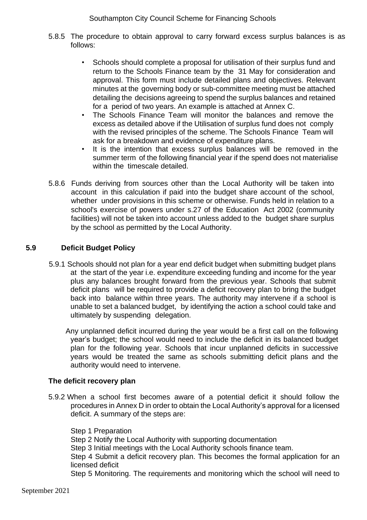- 5.8.5 The procedure to obtain approval to carry forward excess surplus balances is as follows:
	- Schools should complete a proposal for utilisation of their surplus fund and return to the Schools Finance team by the 31 May for consideration and approval. This form must include detailed plans and objectives. Relevant minutes at the governing body or sub-committee meeting must be attached detailing the decisions agreeing to spend the surplus balances and retained for a period of two years. An example is attached at Annex C.
	- The Schools Finance Team will monitor the balances and remove the excess as detailed above if the Utilisation of surplus fund does not comply with the revised principles of the scheme. The Schools Finance Team will ask for a breakdown and evidence of expenditure plans.
	- It is the intention that excess surplus balances will be removed in the summer term of the following financial year if the spend does not materialise within the timescale detailed.
- 5.8.6 Funds deriving from sources other than the Local Authority will be taken into account in this calculation if paid into the budget share account of the school, whether under provisions in this scheme or otherwise. Funds held in relation to a school's exercise of powers under s.27 of the Education Act 2002 (community facilities) will not be taken into account unless added to the budget share surplus by the school as permitted by the Local Authority.

#### <span id="page-16-0"></span>**5.9 Deficit Budget Policy**

5.9.1 Schools should not plan for a year end deficit budget when submitting budget plans at the start of the year i.e. expenditure exceeding funding and income for the year plus any balances brought forward from the previous year. Schools that submit deficit plans will be required to provide a deficit recovery plan to bring the budget back into balance within three years. The authority may intervene if a school is unable to set a balanced budget, by identifying the action a school could take and ultimately by suspending delegation.

Any unplanned deficit incurred during the year would be a first call on the following year's budget; the school would need to include the deficit in its balanced budget plan for the following year. Schools that incur unplanned deficits in successive years would be treated the same as schools submitting deficit plans and the authority would need to intervene.

#### **The deficit recovery plan**

5.9.2 When a school first becomes aware of a potential deficit it should follow the procedures in Annex D in order to obtain the Local Authority's approval for a licensed deficit. A summary of the steps are:

Step 1 Preparation Step 2 Notify the Local Authority with supporting documentation Step 3 Initial meetings with the Local Authority schools finance team. Step 4 Submit a deficit recovery plan. This becomes the formal application for an licensed deficit Step 5 Monitoring. The requirements and monitoring which the school will need to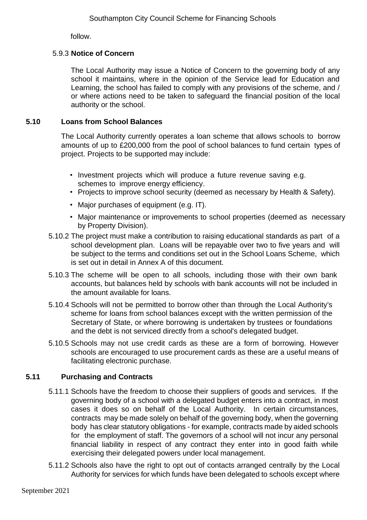follow.

#### 5.9.3 **Notice of Concern**

 The Local Authority may issue a Notice of Concern to the governing body of any school it maintains, where in the opinion of the Service lead for Education and Learning, the school has failed to comply with any provisions of the scheme, and / or where actions need to be taken to safeguard the financial position of the local authority or the school.

#### <span id="page-17-0"></span>**5.10 Loans from School Balances**

The Local Authority currently operates a loan scheme that allows schools to borrow amounts of up to £200,000 from the pool of school balances to fund certain types of project. Projects to be supported may include:

- Investment projects which will produce a future revenue saving e.g. schemes to improve energy efficiency.
- Projects to improve school security (deemed as necessary by Health & Safety).
- Major purchases of equipment (e.g. IT).
- Major maintenance or improvements to school properties (deemed as necessary by Property Division).
- 5.10.2 The project must make a contribution to raising educational standards as part of a school development plan. Loans will be repayable over two to five years and will be subject to the terms and conditions set out in the School Loans Scheme, which is set out in detail in Annex A of this document.
- 5.10.3 The scheme will be open to all schools, including those with their own bank accounts, but balances held by schools with bank accounts will not be included in the amount available for loans.
- 5.10.4 Schools will not be permitted to borrow other than through the Local Authority's scheme for loans from school balances except with the written permission of the Secretary of State, or where borrowing is undertaken by trustees or foundations and the debt is not serviced directly from a school's delegated budget.
- 5.10.5 Schools may not use credit cards as these are a form of borrowing. However schools are encouraged to use procurement cards as these are a useful means of facilitating electronic purchase.

#### <span id="page-17-1"></span>**5.11 Purchasing and Contracts**

- 5.11.1 Schools have the freedom to choose their suppliers of goods and services. If the governing body of a school with a delegated budget enters into a contract, in most cases it does so on behalf of the Local Authority. In certain circumstances, contracts may be made solely on behalf of the governing body, when the governing body has clear statutory obligations - for example, contracts made by aided schools for the employment of staff. The governors of a school will not incur any personal financial liability in respect of any contract they enter into in good faith while exercising their delegated powers under local management.
- 5.11.2 Schools also have the right to opt out of contacts arranged centrally by the Local Authority for services for which funds have been delegated to schools except where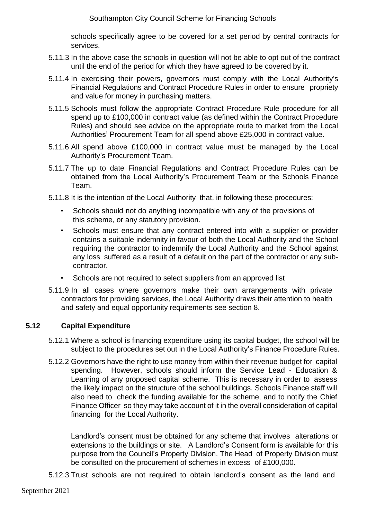schools specifically agree to be covered for a set period by central contracts for services.

- 5.11.3 In the above case the schools in question will not be able to opt out of the contract until the end of the period for which they have agreed to be covered by it.
- 5.11.4 In exercising their powers, governors must comply with the Local Authority's Financial Regulations and Contract Procedure Rules in order to ensure propriety and value for money in purchasing matters.
- 5.11.5 Schools must follow the appropriate Contract Procedure Rule procedure for all spend up to £100,000 in contract value (as defined within the Contract Procedure Rules) and should see advice on the appropriate route to market from the Local Authorities' Procurement Team for all spend above £25,000 in contract value.
- 5.11.6 All spend above £100,000 in contract value must be managed by the Local Authority's Procurement Team.
- 5.11.7 The up to date Financial Regulations and Contract Procedure Rules can be obtained from the Local Authority's Procurement Team or the Schools Finance Team.
- 5.11.8 It is the intention of the Local Authority that, in following these procedures:
	- Schools should not do anything incompatible with any of the provisions of this scheme, or any statutory provision.
	- Schools must ensure that any contract entered into with a supplier or provider contains a suitable indemnity in favour of both the Local Authority and the School requiring the contractor to indemnify the Local Authority and the School against any loss suffered as a result of a default on the part of the contractor or any subcontractor.
	- Schools are not required to select suppliers from an approved list
- 5.11.9 In all cases where governors make their own arrangements with private contractors for providing services, the Local Authority draws their attention to health and safety and equal opportunity requirements see section 8.

#### <span id="page-18-0"></span>**5.12 Capital Expenditure**

- 5.12.1 Where a school is financing expenditure using its capital budget, the school will be subject to the procedures set out in the Local Authority's Finance Procedure Rules.
- 5.12.2 Governors have the right to use money from within their revenue budget for capital spending. However, schools should inform the Service Lead - Education & Learning of any proposed capital scheme. This is necessary in order to assess the likely impact on the structure of the school buildings. Schools Finance staff will also need to check the funding available for the scheme, and to notify the Chief Finance Officer so they may take account of it in the overall consideration of capital financing for the Local Authority.

Landlord's consent must be obtained for any scheme that involves alterations or extensions to the buildings or site. A Landlord's Consent form is available for this purpose from the Council's Property Division. The Head of Property Division must be consulted on the procurement of schemes in excess of £100,000.

5.12.3 Trust schools are not required to obtain landlord's consent as the land and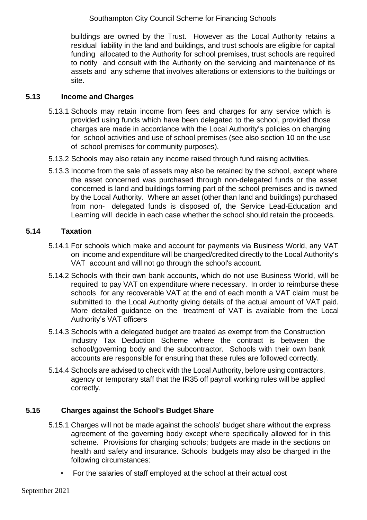buildings are owned by the Trust. However as the Local Authority retains a residual liability in the land and buildings, and trust schools are eligible for capital funding allocated to the Authority for school premises, trust schools are required to notify and consult with the Authority on the servicing and maintenance of its assets and any scheme that involves alterations or extensions to the buildings or site.

#### <span id="page-19-0"></span>**5.13 Income and Charges**

- 5.13.1 Schools may retain income from fees and charges for any service which is provided using funds which have been delegated to the school, provided those charges are made in accordance with the Local Authority's policies on charging for school activities and use of school premises (see also section 10 on the use of school premises for community purposes).
- 5.13.2 Schools may also retain any income raised through fund raising activities.
- 5.13.3 Income from the sale of assets may also be retained by the school, except where the asset concerned was purchased through non-delegated funds or the asset concerned is land and buildings forming part of the school premises and is owned by the Local Authority. Where an asset (other than land and buildings) purchased from non- delegated funds is disposed of, the Service Lead-Education and Learning will decide in each case whether the school should retain the proceeds.

#### <span id="page-19-1"></span>**5.14 Taxation**

- 5.14.1 For schools which make and account for payments via Business World, any VAT on income and expenditure will be charged/credited directly to the Local Authority's VAT account and will not go through the school's account.
- 5.14.2 Schools with their own bank accounts, which do not use Business World, will be required to pay VAT on expenditure where necessary. In order to reimburse these schools for any recoverable VAT at the end of each month a VAT claim must be submitted to the Local Authority giving details of the actual amount of VAT paid. More detailed guidance on the treatment of VAT is available from the Local Authority's VAT officers
- 5.14.3 Schools with a delegated budget are treated as exempt from the Construction Industry Tax Deduction Scheme where the contract is between the school/governing body and the subcontractor. Schools with their own bank accounts are responsible for ensuring that these rules are followed correctly.
- 5.14.4 Schools are advised to check with the Local Authority, before using contractors, agency or temporary staff that the IR35 off payroll working rules will be applied correctly.

#### <span id="page-19-2"></span>**5.15 Charges against the School's Budget Share**

- 5.15.1 Charges will not be made against the schools' budget share without the express agreement of the governing body except where specifically allowed for in this scheme. Provisions for charging schools; budgets are made in the sections on health and safety and insurance. Schools budgets may also be charged in the following circumstances:
	- For the salaries of staff employed at the school at their actual cost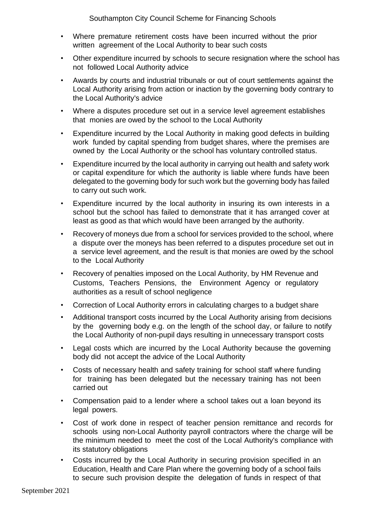- Where premature retirement costs have been incurred without the prior written agreement of the Local Authority to bear such costs
- Other expenditure incurred by schools to secure resignation where the school has not followed Local Authority advice
- Awards by courts and industrial tribunals or out of court settlements against the Local Authority arising from action or inaction by the governing body contrary to the Local Authority's advice
- Where a disputes procedure set out in a service level agreement establishes that monies are owed by the school to the Local Authority
- Expenditure incurred by the Local Authority in making good defects in building work funded by capital spending from budget shares, where the premises are owned by the Local Authority or the school has voluntary controlled status.
- Expenditure incurred by the local authority in carrying out health and safety work or capital expenditure for which the authority is liable where funds have been delegated to the governing body for such work but the governing body has failed to carry out such work.
- Expenditure incurred by the local authority in insuring its own interests in a school but the school has failed to demonstrate that it has arranged cover at least as good as that which would have been arranged by the authority.
- Recovery of moneys due from a school for services provided to the school, where a dispute over the moneys has been referred to a disputes procedure set out in a service level agreement, and the result is that monies are owed by the school to the Local Authority
- Recovery of penalties imposed on the Local Authority, by HM Revenue and Customs, Teachers Pensions, the Environment Agency or regulatory authorities as a result of school negligence
- Correction of Local Authority errors in calculating charges to a budget share
- Additional transport costs incurred by the Local Authority arising from decisions by the governing body e.g. on the length of the school day, or failure to notify the Local Authority of non-pupil days resulting in unnecessary transport costs
- Legal costs which are incurred by the Local Authority because the governing body did not accept the advice of the Local Authority
- Costs of necessary health and safety training for school staff where funding for training has been delegated but the necessary training has not been carried out
- Compensation paid to a lender where a school takes out a loan beyond its legal powers.
- Cost of work done in respect of teacher pension remittance and records for schools using non-Local Authority payroll contractors where the charge will be the minimum needed to meet the cost of the Local Authority's compliance with its statutory obligations
- Costs incurred by the Local Authority in securing provision specified in an Education, Health and Care Plan where the governing body of a school fails to secure such provision despite the delegation of funds in respect of that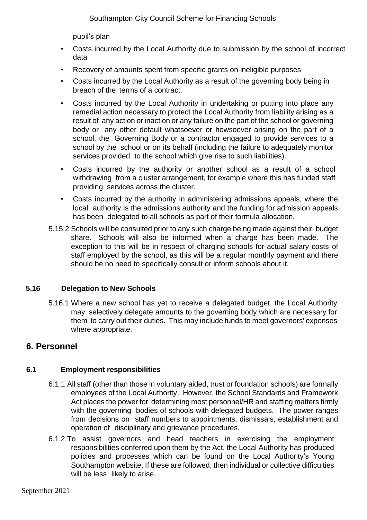pupil's plan

- Costs incurred by the Local Authority due to submission by the school of incorrect data
- Recovery of amounts spent from specific grants on ineligible purposes
- Costs incurred by the Local Authority as a result of the governing body being in breach of the terms of a contract.
- Costs incurred by the Local Authority in undertaking or putting into place any remedial action necessary to protect the Local Authority from liability arising as a result of any action or inaction or any failure on the part of the school or governing body or any other default whatsoever or howsoever arising on the part of a school, the Governing Body or a contractor engaged to provide services to a school by the school or on its behalf (including the failure to adequately monitor services provided to the school which give rise to such liabilities).
- Costs incurred by the authority or another school as a result of a school withdrawing from a cluster arrangement, for example where this has funded staff providing services across the cluster.
- Costs incurred by the authority in administering admissions appeals, where the local authority is the admissions authority and the funding for admission appeals has been delegated to all schools as part of their formula allocation.
- 5.15.2 Schools will be consulted prior to any such charge being made against their budget share. Schools will also be informed when a charge has been made. The exception to this will be in respect of charging schools for actual salary costs of staff employed by the school, as this will be a regular monthly payment and there should be no need to specifically consult or inform schools about it.

#### <span id="page-21-0"></span>**5.16 Delegation to New Schools**

5.16.1 Where a new school has yet to receive a delegated budget, the Local Authority may selectively delegate amounts to the governing body which are necessary for them to carry out their duties. This may include funds to meet governors' expenses where appropriate.

# **6. Personnel**

# **6.1 Employment responsibilities**

- 6.1.1 All staff (other than those in voluntary aided, trust or foundation schools) are formally employees of the Local Authority. However, the School Standards and Framework Act places the power for determining most personnel/HR and staffing matters firmly with the governing bodies of schools with delegated budgets. The power ranges from decisions on staff numbers to appointments, dismissals, establishment and operation of disciplinary and grievance procedures.
- 6.1.2 To assist governors and head teachers in exercising the employment responsibilities conferred upon them by the Act, the Local Authority has produced policies and processes which can be found on the Local Authority's Young Southampton website. If these are followed, then individual or collective difficulties will be less likely to arise.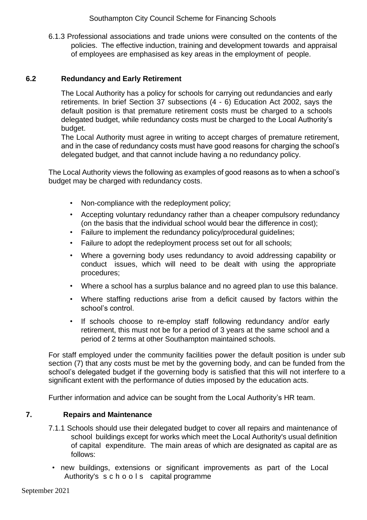6.1.3 Professional associations and trade unions were consulted on the contents of the policies. The effective induction, training and development towards and appraisal of employees are emphasised as key areas in the employment of people.

#### **6.2 Redundancy and Early Retirement**

The Local Authority has a policy for schools for carrying out redundancies and early retirements. In brief Section 37 subsections (4 - 6) Education Act 2002, says the default position is that premature retirement costs must be charged to a schools delegated budget, while redundancy costs must be charged to the Local Authority's budget.

The Local Authority must agree in writing to accept charges of premature retirement, and in the case of redundancy costs must have good reasons for charging the school's delegated budget, and that cannot include having a no redundancy policy.

The Local Authority views the following as examples of good reasons as to when a school's budget may be charged with redundancy costs.

- Non-compliance with the redeployment policy;
- Accepting voluntary redundancy rather than a cheaper compulsory redundancy (on the basis that the individual school would bear the difference in cost);
- Failure to implement the redundancy policy/procedural guidelines;
- Failure to adopt the redeployment process set out for all schools;
- Where a governing body uses redundancy to avoid addressing capability or conduct issues, which will need to be dealt with using the appropriate procedures;
- Where a school has a surplus balance and no agreed plan to use this balance.
- Where staffing reductions arise from a deficit caused by factors within the school's control.
- If schools choose to re-employ staff following redundancy and/or early retirement, this must not be for a period of 3 years at the same school and a period of 2 terms at other Southampton maintained schools.

For staff employed under the community facilities power the default position is under sub section (7) that any costs must be met by the governing body, and can be funded from the school's delegated budget if the governing body is satisfied that this will not interfere to a significant extent with the performance of duties imposed by the education acts.

Further information and advice can be sought from the Local Authority's HR team.

# **7. Repairs and Maintenance**

- <span id="page-22-0"></span>7.1.1 Schools should use their delegated budget to cover all repairs and maintenance of school buildings except for works which meet the Local Authority's usual definition of capital expenditure. The main areas of which are designated as capital are as follows:
- new buildings, extensions or significant improvements as part of the Local Authority's s c h o o l s capital programme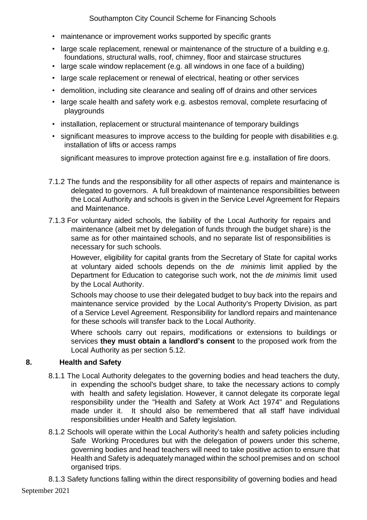- maintenance or improvement works supported by specific grants
- large scale replacement, renewal or maintenance of the structure of a building e.g. foundations, structural walls, roof, chimney, floor and staircase structures
- large scale window replacement (e.g. all windows in one face of a building)
- large scale replacement or renewal of electrical, heating or other services
- demolition, including site clearance and sealing off of drains and other services
- large scale health and safety work e.g. asbestos removal, complete resurfacing of playgrounds
- installation, replacement or structural maintenance of temporary buildings
- significant measures to improve access to the building for people with disabilities e.g. installation of lifts or access ramps

significant measures to improve protection against fire e.g. installation of fire doors.

- 7.1.2 The funds and the responsibility for all other aspects of repairs and maintenance is delegated to governors. A full breakdown of maintenance responsibilities between the Local Authority and schools is given in the Service Level Agreement for Repairs and Maintenance.
- 7.1.3 For voluntary aided schools, the liability of the Local Authority for repairs and maintenance (albeit met by delegation of funds through the budget share) is the same as for other maintained schools, and no separate list of responsibilities is necessary for such schools.

 However, eligibility for capital grants from the Secretary of State for capital works at voluntary aided schools depends on the *de minimis* limit applied by the Department for Education to categorise such work, not the *de minimis* limit used by the Local Authority.

 Schools may choose to use their delegated budget to buy back into the repairs and maintenance service provided by the Local Authority's Property Division, as part of a Service Level Agreement. Responsibility for landlord repairs and maintenance for these schools will transfer back to the Local Authority.

 Where schools carry out repairs, modifications or extensions to buildings or services **they must obtain a landlord's consent** to the proposed work from the Local Authority as per section 5.12.

# <span id="page-23-0"></span>**8. Health and Safety**

- 8.1.1 The Local Authority delegates to the governing bodies and head teachers the duty, in expending the school's budget share, to take the necessary actions to comply with health and safety legislation. However, it cannot delegate its corporate legal responsibility under the "Health and Safety at Work Act 1974" and Regulations made under it. It should also be remembered that all staff have individual responsibilities under Health and Safety legislation.
- 8.1.2 Schools will operate within the Local Authority's health and safety policies including Safe Working Procedures but with the delegation of powers under this scheme, governing bodies and head teachers will need to take positive action to ensure that Health and Safety is adequately managed within the school premises and on school organised trips.

September 2021 8.1.3 Safety functions falling within the direct responsibility of governing bodies and head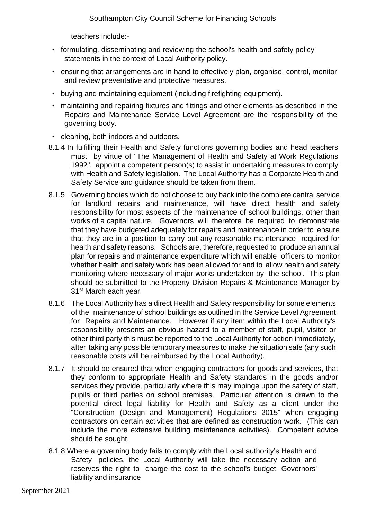teachers include:-

- formulating, disseminating and reviewing the school's health and safety policy statements in the context of Local Authority policy.
- ensuring that arrangements are in hand to effectively plan, organise, control, monitor and review preventative and protective measures.
- buying and maintaining equipment (including firefighting equipment).
- maintaining and repairing fixtures and fittings and other elements as described in the Repairs and Maintenance Service Level Agreement are the responsibility of the governing body.
- cleaning, both indoors and outdoors.
- 8.1.4 In fulfilling their Health and Safety functions governing bodies and head teachers must by virtue of "The Management of Health and Safety at Work Regulations 1992", appoint a competent person(s) to assist in undertaking measures to comply with Health and Safety legislation. The Local Authority has a Corporate Health and Safety Service and guidance should be taken from them.
- 8.1.5 Governing bodies which do not choose to buy back into the complete central service for landlord repairs and maintenance, will have direct health and safety responsibility for most aspects of the maintenance of school buildings, other than works of a capital nature. Governors will therefore be required to demonstrate that they have budgeted adequately for repairs and maintenance in order to ensure that they are in a position to carry out any reasonable maintenance required for health and safety reasons. Schools are, therefore, requested to produce an annual plan for repairs and maintenance expenditure which will enable officers to monitor whether health and safety work has been allowed for and to allow health and safety monitoring where necessary of major works undertaken by the school. This plan should be submitted to the Property Division Repairs & Maintenance Manager by 31<sup>st</sup> March each year.
- 8.1.6 The Local Authority has a direct Health and Safety responsibility for some elements of the maintenance of school buildings as outlined in the Service Level Agreement for Repairs and Maintenance. However if any item within the Local Authority's responsibility presents an obvious hazard to a member of staff, pupil, visitor or other third party this must be reported to the Local Authority for action immediately, after taking any possible temporary measures to make the situation safe (any such reasonable costs will be reimbursed by the Local Authority).
- 8.1.7 It should be ensured that when engaging contractors for goods and services, that they conform to appropriate Health and Safety standards in the goods and/or services they provide, particularly where this may impinge upon the safety of staff, pupils or third parties on school premises. Particular attention is drawn to the potential direct legal liability for Health and Safety as a client under the "Construction (Design and Management) Regulations 2015" when engaging contractors on certain activities that are defined as construction work. (This can include the more extensive building maintenance activities). Competent advice should be sought.
- <span id="page-24-0"></span>8.1.8 Where a governing body fails to comply with the Local authority's Health and Safety policies, the Local Authority will take the necessary action and reserves the right to charge the cost to the school's budget. Governors' liability and insurance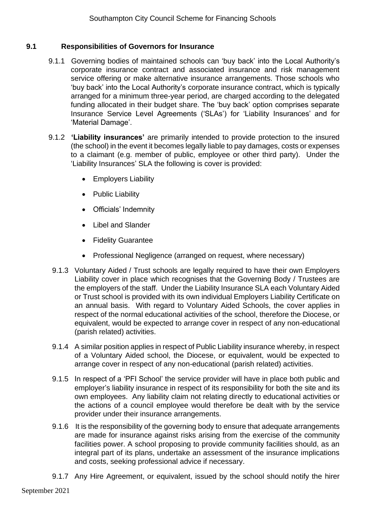#### **9.1 Responsibilities of Governors for Insurance**

- 9.1.1 Governing bodies of maintained schools can 'buy back' into the Local Authority's corporate insurance contract and associated insurance and risk management service offering or make alternative insurance arrangements. Those schools who 'buy back' into the Local Authority's corporate insurance contract, which is typically arranged for a minimum three-year period, are charged according to the delegated funding allocated in their budget share. The 'buy back' option comprises separate Insurance Service Level Agreements ('SLAs') for 'Liability Insurances' and for 'Material Damage'.
- 9.1.2 **'Liability insurances'** are primarily intended to provide protection to the insured (the school) in the event it becomes legally liable to pay damages, costs or expenses to a claimant (e.g. member of public, employee or other third party). Under the 'Liability Insurances' SLA the following is cover is provided:
	- Employers Liability
	- Public Liability
	- Officials' Indemnity
	- Libel and Slander
	- Fidelity Guarantee
	- Professional Negligence (arranged on request, where necessary)
	- 9.1.3 Voluntary Aided / Trust schools are legally required to have their own Employers Liability cover in place which recognises that the Governing Body / Trustees are the employers of the staff. Under the Liability Insurance SLA each Voluntary Aided or Trust school is provided with its own individual Employers Liability Certificate on an annual basis. With regard to Voluntary Aided Schools, the cover applies in respect of the normal educational activities of the school, therefore the Diocese, or equivalent, would be expected to arrange cover in respect of any non-educational (parish related) activities.
	- 9.1.4 A similar position applies in respect of Public Liability insurance whereby, in respect of a Voluntary Aided school, the Diocese, or equivalent, would be expected to arrange cover in respect of any non-educational (parish related) activities.
	- 9.1.5 In respect of a 'PFI School' the service provider will have in place both public and employer's liability insurance in respect of its responsibility for both the site and its own employees. Any liability claim not relating directly to educational activities or the actions of a council employee would therefore be dealt with by the service provider under their insurance arrangements.
	- 9.1.6 It is the responsibility of the governing body to ensure that adequate arrangements are made for insurance against risks arising from the exercise of the community facilities power. A school proposing to provide community facilities should, as an integral part of its plans, undertake an assessment of the insurance implications and costs, seeking professional advice if necessary.
	- 9.1.7 Any Hire Agreement, or equivalent, issued by the school should notify the hirer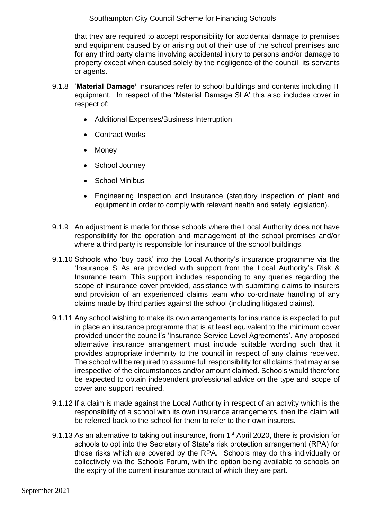that they are required to accept responsibility for accidental damage to premises and equipment caused by or arising out of their use of the school premises and for any third party claims involving accidental injury to persons and/or damage to property except when caused solely by the negligence of the council, its servants or agents.

- 9.1.8 '**Material Damage'** insurances refer to school buildings and contents including IT equipment. In respect of the 'Material Damage SLA' this also includes cover in respect of:
	- Additional Expenses/Business Interruption
	- Contract Works
	- Money
	- School Journey
	- School Minibus
	- Engineering Inspection and Insurance (statutory inspection of plant and equipment in order to comply with relevant health and safety legislation).
- 9.1.9 An adjustment is made for those schools where the Local Authority does not have responsibility for the operation and management of the school premises and/or where a third party is responsible for insurance of the school buildings.
- 9.1.10 Schools who 'buy back' into the Local Authority's insurance programme via the 'Insurance SLAs are provided with support from the Local Authority's Risk & Insurance team. This support includes responding to any queries regarding the scope of insurance cover provided, assistance with submitting claims to insurers and provision of an experienced claims team who co-ordinate handling of any claims made by third parties against the school (including litigated claims).
- 9.1.11 Any school wishing to make its own arrangements for insurance is expected to put in place an insurance programme that is at least equivalent to the minimum cover provided under the council's 'Insurance Service Level Agreements'. Any proposed alternative insurance arrangement must include suitable wording such that it provides appropriate indemnity to the council in respect of any claims received. The school will be required to assume full responsibility for all claims that may arise irrespective of the circumstances and/or amount claimed. Schools would therefore be expected to obtain independent professional advice on the type and scope of cover and support required.
- 9.1.12 If a claim is made against the Local Authority in respect of an activity which is the responsibility of a school with its own insurance arrangements, then the claim will be referred back to the school for them to refer to their own insurers.
- 9.1.13 As an alternative to taking out insurance, from 1<sup>st</sup> April 2020, there is provision for schools to opt into the Secretary of State's risk protection arrangement (RPA) for those risks which are covered by the RPA. Schools may do this individually or collectively via the Schools Forum, with the option being available to schools on the expiry of the current insurance contract of which they are part.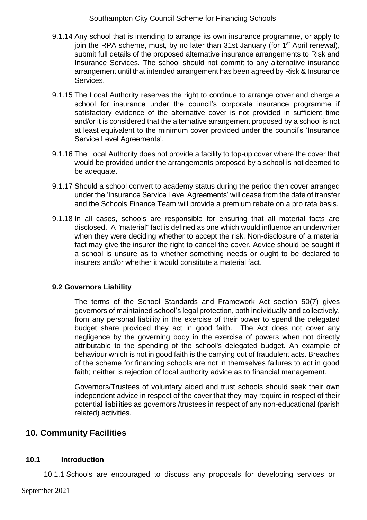- 9.1.14 Any school that is intending to arrange its own insurance programme, or apply to join the RPA scheme, must, by no later than 31st January (for 1<sup>st</sup> April renewal), submit full details of the proposed alternative insurance arrangements to Risk and Insurance Services. The school should not commit to any alternative insurance arrangement until that intended arrangement has been agreed by Risk & Insurance Services.
- 9.1.15 The Local Authority reserves the right to continue to arrange cover and charge a school for insurance under the council's corporate insurance programme if satisfactory evidence of the alternative cover is not provided in sufficient time and/or it is considered that the alternative arrangement proposed by a school is not at least equivalent to the minimum cover provided under the council's 'Insurance Service Level Agreements'.
- 9.1.16 The Local Authority does not provide a facility to top-up cover where the cover that would be provided under the arrangements proposed by a school is not deemed to be adequate.
- 9.1.17 Should a school convert to academy status during the period then cover arranged under the 'Insurance Service Level Agreements' will cease from the date of transfer and the Schools Finance Team will provide a premium rebate on a pro rata basis.
- 9.1.18 In all cases, schools are responsible for ensuring that all material facts are disclosed. A "material" fact is defined as one which would influence an underwriter when they were deciding whether to accept the risk. Non-disclosure of a material fact may give the insurer the right to cancel the cover. Advice should be sought if a school is unsure as to whether something needs or ought to be declared to insurers and/or whether it would constitute a material fact.

#### **9.2 Governors Liability**

The terms of the School Standards and Framework Act section 50(7) gives governors of maintained school's legal protection, both individually and collectively, from any personal liability in the exercise of their power to spend the delegated budget share provided they act in good faith. The Act does not cover any negligence by the governing body in the exercise of powers when not directly attributable to the spending of the school's delegated budget. An example of behaviour which is not in good faith is the carrying out of fraudulent acts. Breaches of the scheme for financing schools are not in themselves failures to act in good faith; neither is rejection of local authority advice as to financial management.

Governors/Trustees of voluntary aided and trust schools should seek their own independent advice in respect of the cover that they may require in respect of their potential liabilities as governors /trustees in respect of any non-educational (parish related) activities.

# **10. Community Facilities**

#### **10.1 Introduction**

10.1.1 Schools are encouraged to discuss any proposals for developing services or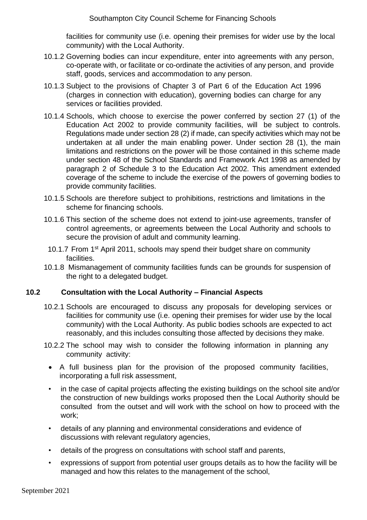facilities for community use (i.e. opening their premises for wider use by the local community) with the Local Authority.

- 10.1.2 Governing bodies can incur expenditure, enter into agreements with any person, co-operate with, or facilitate or co-ordinate the activities of any person, and provide staff, goods, services and accommodation to any person.
- 10.1.3 Subject to the provisions of Chapter 3 of Part 6 of the Education Act 1996 (charges in connection with education), governing bodies can charge for any services or facilities provided.
- 10.1.4 Schools, which choose to exercise the power conferred by section 27 (1) of the Education Act 2002 to provide community facilities, will be subject to controls. Regulations made under section 28 (2) if made, can specify activities which may not be undertaken at all under the main enabling power. Under section 28 (1), the main limitations and restrictions on the power will be those contained in this scheme made under section 48 of the School Standards and Framework Act 1998 as amended by paragraph 2 of Schedule 3 to the Education Act 2002. This amendment extended coverage of the scheme to include the exercise of the powers of governing bodies to provide community facilities.
- 10.1.5 Schools are therefore subject to prohibitions, restrictions and limitations in the scheme for financing schools.
- 10.1.6 This section of the scheme does not extend to joint-use agreements, transfer of control agreements, or agreements between the Local Authority and schools to secure the provision of adult and community learning.
	- 10.1.7 From 1<sup>st</sup> April 2011, schools may spend their budget share on community facilities.
- 10.1.8 Mismanagement of community facilities funds can be grounds for suspension of the right to a delegated budget.

#### **10.2 Consultation with the Local Authority – Financial Aspects**

- 10.2.1 Schools are encouraged to discuss any proposals for developing services or facilities for community use (i.e. opening their premises for wider use by the local community) with the Local Authority. As public bodies schools are expected to act reasonably, and this includes consulting those affected by decisions they make.
- 10.2.2 The school may wish to consider the following information in planning any community activity:
	- A full business plan for the provision of the proposed community facilities, incorporating a full risk assessment,
	- in the case of capital projects affecting the existing buildings on the school site and/or the construction of new buildings works proposed then the Local Authority should be consulted from the outset and will work with the school on how to proceed with the work;
	- details of any planning and environmental considerations and evidence of discussions with relevant regulatory agencies,
	- details of the progress on consultations with school staff and parents,
	- expressions of support from potential user groups details as to how the facility will be managed and how this relates to the management of the school,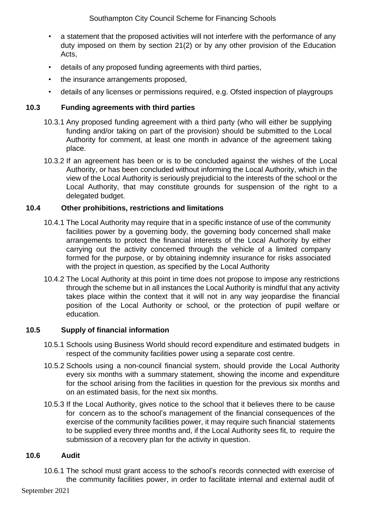- a statement that the proposed activities will not interfere with the performance of any duty imposed on them by section 21(2) or by any other provision of the Education Acts,
- details of any proposed funding agreements with third parties,
- the insurance arrangements proposed,
- details of any licenses or permissions required, e.g. Ofsted inspection of playgroups

### **10.3 Funding agreements with third parties**

- 10.3.1 Any proposed funding agreement with a third party (who will either be supplying funding and/or taking on part of the provision) should be submitted to the Local Authority for comment, at least one month in advance of the agreement taking place.
- 10.3.2 If an agreement has been or is to be concluded against the wishes of the Local Authority, or has been concluded without informing the Local Authority, which in the view of the Local Authority is seriously prejudicial to the interests of the school or the Local Authority, that may constitute grounds for suspension of the right to a delegated budget.

### **10.4 Other prohibitions, restrictions and limitations**

- 10.4.1 The Local Authority may require that in a specific instance of use of the community facilities power by a governing body, the governing body concerned shall make arrangements to protect the financial interests of the Local Authority by either carrying out the activity concerned through the vehicle of a limited company formed for the purpose, or by obtaining indemnity insurance for risks associated with the project in question, as specified by the Local Authority
- 10.4.2 The Local Authority at this point in time does not propose to impose any restrictions through the scheme but in all instances the Local Authority is mindful that any activity takes place within the context that it will not in any way jeopardise the financial position of the Local Authority or school, or the protection of pupil welfare or education.

#### **10.5 Supply of financial information**

- 10.5.1 Schools using Business World should record expenditure and estimated budgets in respect of the community facilities power using a separate cost centre.
- 10.5.2 Schools using a non-council financial system, should provide the Local Authority every six months with a summary statement, showing the income and expenditure for the school arising from the facilities in question for the previous six months and on an estimated basis, for the next six months.
- 10.5.3 If the Local Authority, gives notice to the school that it believes there to be cause for concern as to the school's management of the financial consequences of the exercise of the community facilities power, it may require such financial statements to be supplied every three months and, if the Local Authority sees fit, to require the submission of a recovery plan for the activity in question.

#### **10.6 Audit**

10.6.1 The school must grant access to the school's records connected with exercise of the community facilities power, in order to facilitate internal and external audit of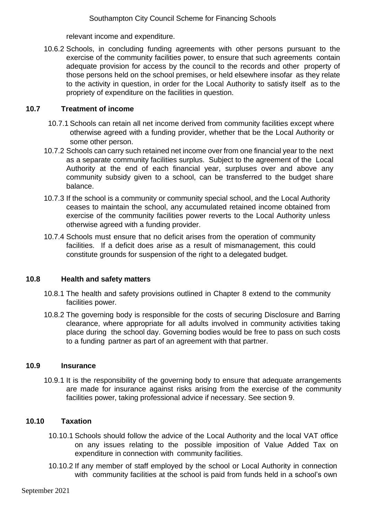relevant income and expenditure.

10.6.2 Schools, in concluding funding agreements with other persons pursuant to the exercise of the community facilities power, to ensure that such agreements contain adequate provision for access by the council to the records and other property of those persons held on the school premises, or held elsewhere insofar as they relate to the activity in question, in order for the Local Authority to satisfy itself as to the propriety of expenditure on the facilities in question.

#### **10.7 Treatment of income**

- 10.7.1 Schools can retain all net income derived from community facilities except where otherwise agreed with a funding provider, whether that be the Local Authority or some other person.
- 10.7.2 Schools can carry such retained net income over from one financial year to the next as a separate community facilities surplus. Subject to the agreement of the Local Authority at the end of each financial year, surpluses over and above any community subsidy given to a school, can be transferred to the budget share balance.
- 10.7.3 If the school is a community or community special school, and the Local Authority ceases to maintain the school, any accumulated retained income obtained from exercise of the community facilities power reverts to the Local Authority unless otherwise agreed with a funding provider.
- 10.7.4 Schools must ensure that no deficit arises from the operation of community facilities. If a deficit does arise as a result of mismanagement, this could constitute grounds for suspension of the right to a delegated budget.

#### **10.8 Health and safety matters**

- 10.8.1 The health and safety provisions outlined in Chapter 8 extend to the community facilities power.
- 10.8.2 The governing body is responsible for the costs of securing Disclosure and Barring clearance, where appropriate for all adults involved in community activities taking place during the school day. Governing bodies would be free to pass on such costs to a funding partner as part of an agreement with that partner.

#### **10.9 Insurance**

10.9.1 It is the responsibility of the governing body to ensure that adequate arrangements are made for insurance against risks arising from the exercise of the community facilities power, taking professional advice if necessary. See section 9.

#### **10.10 Taxation**

- 10.10.1 Schools should follow the advice of the Local Authority and the local VAT office on any issues relating to the possible imposition of Value Added Tax on expenditure in connection with community facilities.
- 10.10.2 If any member of staff employed by the school or Local Authority in connection with community facilities at the school is paid from funds held in a school's own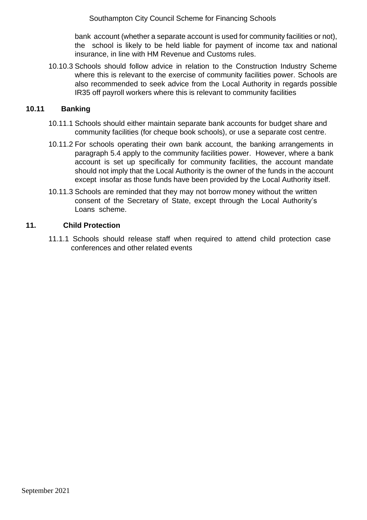bank account (whether a separate account is used for community facilities or not), the school is likely to be held liable for payment of income tax and national insurance, in line with HM Revenue and Customs rules.

10.10.3 Schools should follow advice in relation to the Construction Industry Scheme where this is relevant to the exercise of community facilities power. Schools are also recommended to seek advice from the Local Authority in regards possible IR35 off payroll workers where this is relevant to community facilities

#### **10.11 Banking**

- 10.11.1 Schools should either maintain separate bank accounts for budget share and community facilities (for cheque book schools), or use a separate cost centre.
- 10.11.2 For schools operating their own bank account, the banking arrangements in paragraph 5.4 apply to the community facilities power. However, where a bank account is set up specifically for community facilities, the account mandate should not imply that the Local Authority is the owner of the funds in the account except insofar as those funds have been provided by the Local Authority itself.
- 10.11.3 Schools are reminded that they may not borrow money without the written consent of the Secretary of State, except through the Local Authority's Loans scheme.

#### <span id="page-31-1"></span><span id="page-31-0"></span>**11. Child Protection**

11.1.1 Schools should release staff when required to attend child protection case conferences and other related events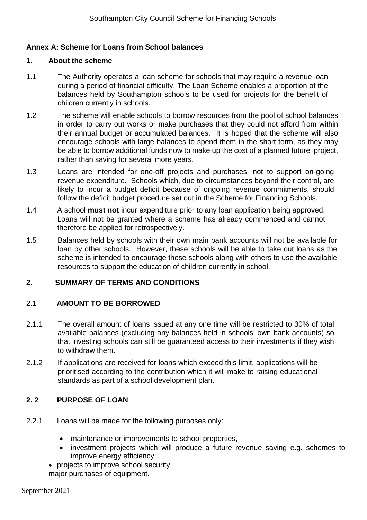#### **Annex A: Scheme for Loans from School balances**

#### **1. About the scheme**

- 1.1 The Authority operates a loan scheme for schools that may require a revenue loan during a period of financial difficulty. The Loan Scheme enables a proportion of the balances held by Southampton schools to be used for projects for the benefit of children currently in schools.
- 1.2 The scheme will enable schools to borrow resources from the pool of school balances in order to carry out works or make purchases that they could not afford from within their annual budget or accumulated balances. It is hoped that the scheme will also encourage schools with large balances to spend them in the short term, as they may be able to borrow additional funds now to make up the cost of a planned future project, rather than saving for several more years.
- 1.3 Loans are intended for one-off projects and purchases, not to support on-going revenue expenditure. Schools which, due to circumstances beyond their control, are likely to incur a budget deficit because of ongoing revenue commitments, should follow the deficit budget procedure set out in the Scheme for Financing Schools.
- 1.4 A school **must not** incur expenditure prior to any loan application being approved. Loans will not be granted where a scheme has already commenced and cannot therefore be applied for retrospectively.
- 1.5 Balances held by schools with their own main bank accounts will not be available for loan by other schools. However, these schools will be able to take out loans as the scheme is intended to encourage these schools along with others to use the available resources to support the education of children currently in school.

#### **2. SUMMARY OF TERMS AND CONDITIONS**

#### 2.1 **AMOUNT TO BE BORROWED**

- 2.1.1 The overall amount of loans issued at any one time will be restricted to 30% of total available balances (excluding any balances held in schools' own bank accounts) so that investing schools can still be guaranteed access to their investments if they wish to withdraw them.
- 2.1.2 If applications are received for loans which exceed this limit, applications will be prioritised according to the contribution which it will make to raising educational standards as part of a school development plan.

#### **2. 2 PURPOSE OF LOAN**

- 2.2.1 Loans will be made for the following purposes only:
	- maintenance or improvements to school properties,
	- investment projects which will produce a future revenue saving e.g. schemes to improve energy efficiency
	- projects to improve school security,

major purchases of equipment.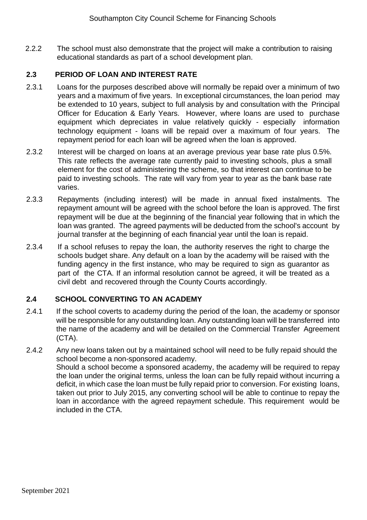2.2.2 The school must also demonstrate that the project will make a contribution to raising educational standards as part of a school development plan.

#### **2.3 PERIOD OF LOAN AND INTEREST RATE**

- 2.3.1 Loans for the purposes described above will normally be repaid over a minimum of two years and a maximum of five years. In exceptional circumstances, the loan period may be extended to 10 years, subject to full analysis by and consultation with the Principal Officer for Education & Early Years. However, where loans are used to purchase equipment which depreciates in value relatively quickly - especially information technology equipment - loans will be repaid over a maximum of four years. The repayment period for each loan will be agreed when the loan is approved.
- 2.3.2 Interest will be charged on loans at an average previous year base rate plus 0.5%. This rate reflects the average rate currently paid to investing schools, plus a small element for the cost of administering the scheme, so that interest can continue to be paid to investing schools. The rate will vary from year to year as the bank base rate varies.
- 2.3.3 Repayments (including interest) will be made in annual fixed instalments. The repayment amount will be agreed with the school before the loan is approved. The first repayment will be due at the beginning of the financial year following that in which the loan was granted. The agreed payments will be deducted from the school's account by journal transfer at the beginning of each financial year until the loan is repaid.
- 2.3.4 If a school refuses to repay the loan, the authority reserves the right to charge the schools budget share. Any default on a loan by the academy will be raised with the funding agency in the first instance, who may be required to sign as guarantor as part of the CTA. If an informal resolution cannot be agreed, it will be treated as a civil debt and recovered through the County Courts accordingly.

#### **2.4 SCHOOL CONVERTING TO AN ACADEMY**

- 2.4.1 If the school coverts to academy during the period of the loan, the academy or sponsor will be responsible for any outstanding loan. Any outstanding loan will be transferred into the name of the academy and will be detailed on the Commercial Transfer Agreement (CTA).
- <span id="page-33-0"></span>2.4.2 Any new loans taken out by a maintained school will need to be fully repaid should the school become a non-sponsored academy. Should a school become a sponsored academy, the academy will be required to repay the loan under the original terms, unless the loan can be fully repaid without incurring a deficit, in which case the loan must be fully repaid prior to conversion. For existing loans, taken out prior to July 2015, any converting school will be able to continue to repay the loan in accordance with the agreed repayment schedule. This requirement would be included in the CTA.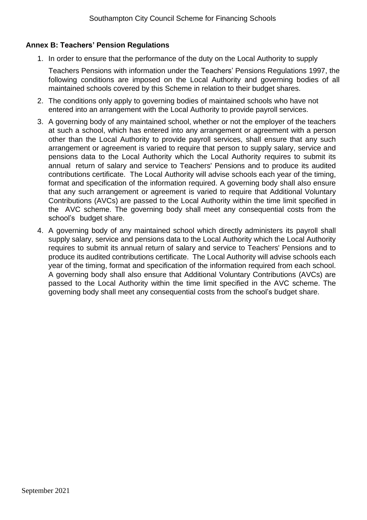#### **Annex B: Teachers' Pension Regulations**

1. In order to ensure that the performance of the duty on the Local Authority to supply

Teachers Pensions with information under the Teachers' Pensions Regulations 1997, the following conditions are imposed on the Local Authority and governing bodies of all maintained schools covered by this Scheme in relation to their budget shares.

- 2. The conditions only apply to governing bodies of maintained schools who have not entered into an arrangement with the Local Authority to provide payroll services.
- 3. A governing body of any maintained school, whether or not the employer of the teachers at such a school, which has entered into any arrangement or agreement with a person other than the Local Authority to provide payroll services, shall ensure that any such arrangement or agreement is varied to require that person to supply salary, service and pensions data to the Local Authority which the Local Authority requires to submit its annual return of salary and service to Teachers' Pensions and to produce its audited contributions certificate. The Local Authority will advise schools each year of the timing, format and specification of the information required. A governing body shall also ensure that any such arrangement or agreement is varied to require that Additional Voluntary Contributions (AVCs) are passed to the Local Authority within the time limit specified in the AVC scheme. The governing body shall meet any consequential costs from the school's budget share.
- <span id="page-34-0"></span>4. A governing body of any maintained school which directly administers its payroll shall supply salary, service and pensions data to the Local Authority which the Local Authority requires to submit its annual return of salary and service to Teachers' Pensions and to produce its audited contributions certificate. The Local Authority will advise schools each year of the timing, format and specification of the information required from each school. A governing body shall also ensure that Additional Voluntary Contributions (AVCs) are passed to the Local Authority within the time limit specified in the AVC scheme. The governing body shall meet any consequential costs from the school's budget share.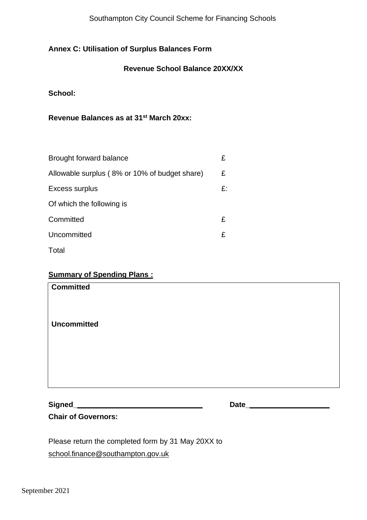#### **Annex C: Utilisation of Surplus Balances Form**

#### **Revenue School Balance 20XX/XX**

**School:**

**Revenue Balances as at 31st March 20xx:**

| Brought forward balance                       | £  |
|-----------------------------------------------|----|
| Allowable surplus (8% or 10% of budget share) | £  |
| Excess surplus                                | £: |
| Of which the following is                     |    |
| Committed                                     | £  |
| Uncommitted                                   | £  |
| Total                                         |    |

#### **Summary of Spending Plans :**

| <b>Committed</b>   |  |  |
|--------------------|--|--|
| <b>Uncommitted</b> |  |  |
|                    |  |  |
|                    |  |  |
|                    |  |  |

**Signed\_**

**Date\_**

**Chair of Governors:**

Please return the completed form by 31 May 20XX to [school.finance@southampton.gov.uk](mailto:school.finance@southampton.gov.uk)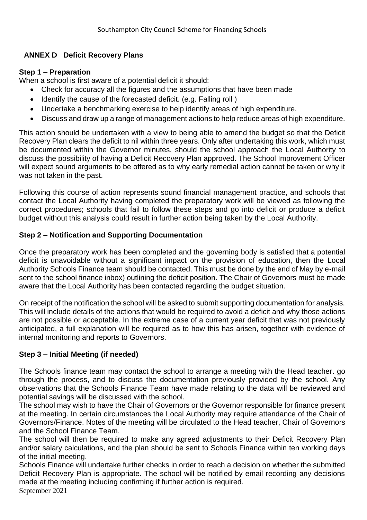## **ANNEX D Deficit Recovery Plans**

#### **Step 1 – Preparation**

When a school is first aware of a potential deficit it should:

- Check for accuracy all the figures and the assumptions that have been made
- Identify the cause of the forecasted deficit. (e.g. Falling roll )
- Undertake a benchmarking exercise to help identify areas of high expenditure.
- Discuss and draw up a range of management actions to help reduce areas of high expenditure.

This action should be undertaken with a view to being able to amend the budget so that the Deficit Recovery Plan clears the deficit to nil within three years. Only after undertaking this work, which must be documented within the Governor minutes, should the school approach the Local Authority to discuss the possibility of having a Deficit Recovery Plan approved. The School Improvement Officer will expect sound arguments to be offered as to why early remedial action cannot be taken or why it was not taken in the past.

Following this course of action represents sound financial management practice, and schools that contact the Local Authority having completed the preparatory work will be viewed as following the correct procedures; schools that fail to follow these steps and go into deficit or produce a deficit budget without this analysis could result in further action being taken by the Local Authority.

#### **Step 2 – Notification and Supporting Documentation**

Once the preparatory work has been completed and the governing body is satisfied that a potential deficit is unavoidable without a significant impact on the provision of education, then the Local Authority Schools Finance team should be contacted. This must be done by the end of May by e-mail sent to the school finance inbox) outlining the deficit position. The Chair of Governors must be made aware that the Local Authority has been contacted regarding the budget situation.

On receipt of the notification the school will be asked to submit supporting documentation for analysis. This will include details of the actions that would be required to avoid a deficit and why those actions are not possible or acceptable. In the extreme case of a current year deficit that was not previously anticipated, a full explanation will be required as to how this has arisen, together with evidence of internal monitoring and reports to Governors.

# **Step 3 – Initial Meeting (if needed)**

The Schools finance team may contact the school to arrange a meeting with the Head teacher. go through the process, and to discuss the documentation previously provided by the school. Any observations that the Schools Finance Team have made relating to the data will be reviewed and potential savings will be discussed with the school.

The school may wish to have the Chair of Governors or the Governor responsible for finance present at the meeting. In certain circumstances the Local Authority may require attendance of the Chair of Governors/Finance. Notes of the meeting will be circulated to the Head teacher, Chair of Governors and the School Finance Team.

The school will then be required to make any agreed adjustments to their Deficit Recovery Plan and/or salary calculations, and the plan should be sent to Schools Finance within ten working days of the initial meeting.

Schools Finance will undertake further checks in order to reach a decision on whether the submitted Deficit Recovery Plan is appropriate. The school will be notified by email recording any decisions made at the meeting including confirming if further action is required.

September 2021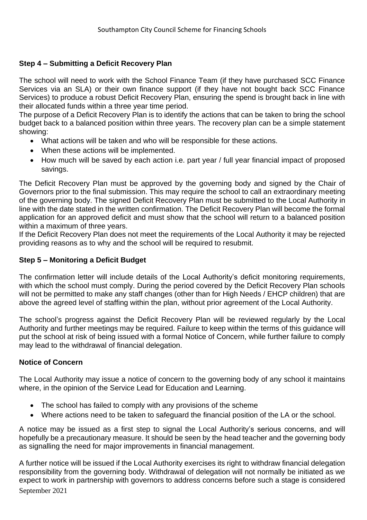## **Step 4 – Submitting a Deficit Recovery Plan**

The school will need to work with the School Finance Team (if they have purchased SCC Finance Services via an SLA) or their own finance support (if they have not bought back SCC Finance Services) to produce a robust Deficit Recovery Plan, ensuring the spend is brought back in line with their allocated funds within a three year time period.

The purpose of a Deficit Recovery Plan is to identify the actions that can be taken to bring the school budget back to a balanced position within three years. The recovery plan can be a simple statement showing:

- What actions will be taken and who will be responsible for these actions.
- When these actions will be implemented.
- How much will be saved by each action i.e. part year / full year financial impact of proposed savings.

The Deficit Recovery Plan must be approved by the governing body and signed by the Chair of Governors prior to the final submission. This may require the school to call an extraordinary meeting of the governing body. The signed Deficit Recovery Plan must be submitted to the Local Authority in line with the date stated in the written confirmation. The Deficit Recovery Plan will become the formal application for an approved deficit and must show that the school will return to a balanced position within a maximum of three years.

If the Deficit Recovery Plan does not meet the requirements of the Local Authority it may be rejected providing reasons as to why and the school will be required to resubmit.

#### **Step 5 – Monitoring a Deficit Budget**

The confirmation letter will include details of the Local Authority's deficit monitoring requirements, with which the school must comply. During the period covered by the Deficit Recovery Plan schools will not be permitted to make any staff changes (other than for High Needs / EHCP children) that are above the agreed level of staffing within the plan, without prior agreement of the Local Authority.

The school's progress against the Deficit Recovery Plan will be reviewed regularly by the Local Authority and further meetings may be required. Failure to keep within the terms of this guidance will put the school at risk of being issued with a formal Notice of Concern, while further failure to comply may lead to the withdrawal of financial delegation.

#### **Notice of Concern**

The Local Authority may issue a notice of concern to the governing body of any school it maintains where, in the opinion of the Service Lead for Education and Learning.

- The school has failed to comply with any provisions of the scheme
- Where actions need to be taken to safeguard the financial position of the LA or the school.

A notice may be issued as a first step to signal the Local Authority's serious concerns, and will hopefully be a precautionary measure. It should be seen by the head teacher and the governing body as signalling the need for major improvements in financial management.

September 2021 A further notice will be issued if the Local Authority exercises its right to withdraw financial delegation responsibility from the governing body. Withdrawal of delegation will not normally be initiated as we expect to work in partnership with governors to address concerns before such a stage is considered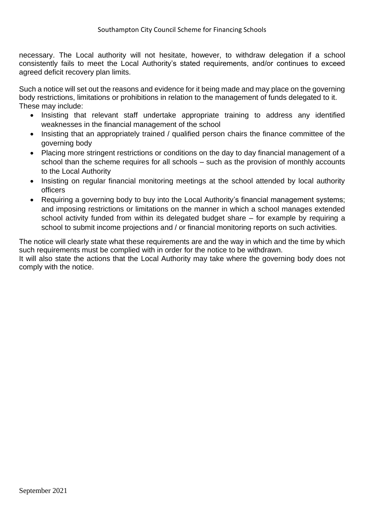necessary. The Local authority will not hesitate, however, to withdraw delegation if a school consistently fails to meet the Local Authority's stated requirements, and/or continues to exceed agreed deficit recovery plan limits.

Such a notice will set out the reasons and evidence for it being made and may place on the governing body restrictions, limitations or prohibitions in relation to the management of funds delegated to it. These may include:

- Insisting that relevant staff undertake appropriate training to address any identified weaknesses in the financial management of the school
- Insisting that an appropriately trained / qualified person chairs the finance committee of the governing body
- Placing more stringent restrictions or conditions on the day to day financial management of a school than the scheme requires for all schools – such as the provision of monthly accounts to the Local Authority
- Insisting on regular financial monitoring meetings at the school attended by local authority officers
- Requiring a governing body to buy into the Local Authority's financial management systems; and imposing restrictions or limitations on the manner in which a school manages extended school activity funded from within its delegated budget share – for example by requiring a school to submit income projections and / or financial monitoring reports on such activities.

The notice will clearly state what these requirements are and the way in which and the time by which such requirements must be complied with in order for the notice to be withdrawn.

It will also state the actions that the Local Authority may take where the governing body does not comply with the notice.